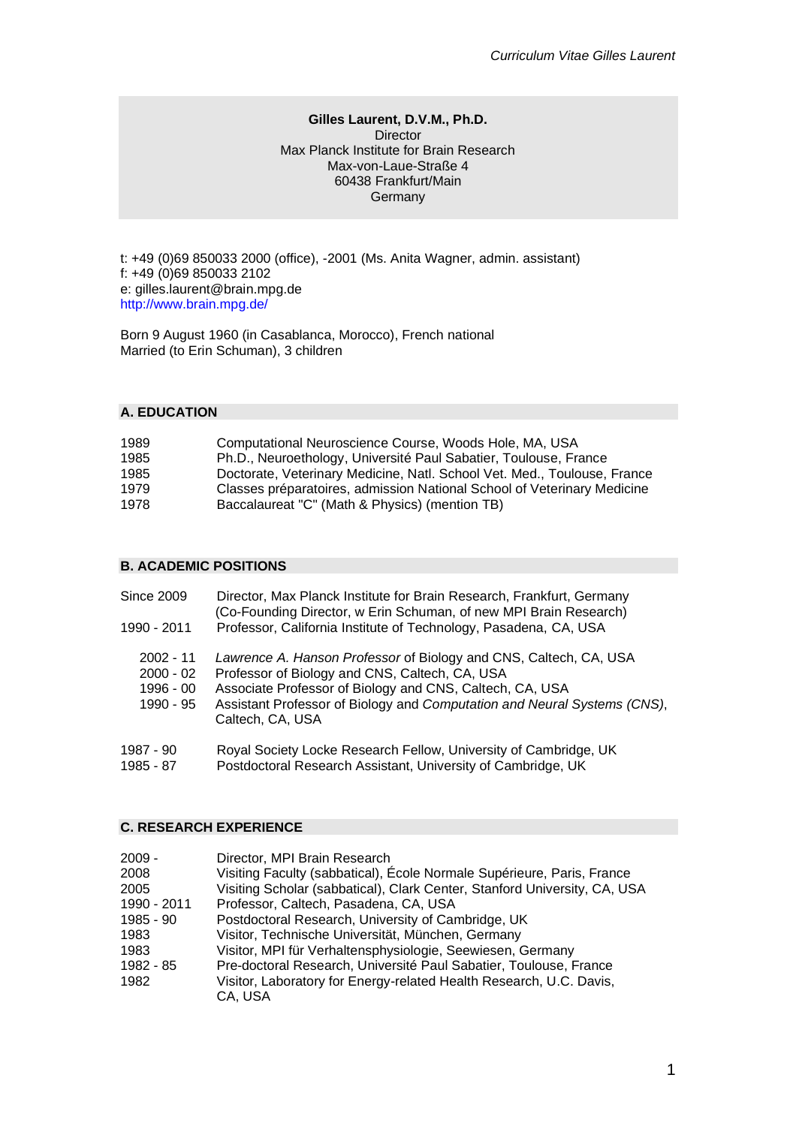### **Gilles Laurent, D.V.M., Ph.D. Director** Max Planck Institute for Brain Research Max-von-Laue-Straße 4 60438 Frankfurt/Main **Germany**

t: +49 (0)69 850033 2000 (office), -2001 (Ms. Anita Wagner, admin. assistant) f: +49 (0)69 850033 2102 e: gilles.laurent@brain.mpg.de http://www.brain.mpg.de/

Born 9 August 1960 (in Casablanca, Morocco), French national Married (to Erin Schuman), 3 children

## **A. EDUCATION**

| 1989 | Computational Neuroscience Course, Woods Hole, MA, USA                   |
|------|--------------------------------------------------------------------------|
| 1985 | Ph.D., Neuroethology, Université Paul Sabatier, Toulouse, France         |
| 1985 | Doctorate, Veterinary Medicine, Natl. School Vet. Med., Toulouse, France |
| 1979 | Classes préparatoires, admission National School of Veterinary Medicine  |
| 1978 | Baccalaureat "C" (Math & Physics) (mention TB)                           |

# **B. ACADEMIC POSITIONS**

| <b>Since 2009</b>                                    | Director, Max Planck Institute for Brain Research, Frankfurt, Germany<br>(Co-Founding Director, w Erin Schuman, of new MPI Brain Research)                                                                                                                                      |
|------------------------------------------------------|---------------------------------------------------------------------------------------------------------------------------------------------------------------------------------------------------------------------------------------------------------------------------------|
| 1990 - 2011                                          | Professor, California Institute of Technology, Pasadena, CA, USA                                                                                                                                                                                                                |
| $2002 - 11$<br>$2000 - 02$<br>1996 - 00<br>1990 - 95 | Lawrence A. Hanson Professor of Biology and CNS, Caltech, CA, USA<br>Professor of Biology and CNS, Caltech, CA, USA<br>Associate Professor of Biology and CNS, Caltech, CA, USA<br>Assistant Professor of Biology and Computation and Neural Systems (CNS),<br>Caltech, CA, USA |
| 1987 - 90                                            | Royal Society Locke Research Fellow, University of Cambridge, UK                                                                                                                                                                                                                |

1985 - 87 Postdoctoral Research Assistant, University of Cambridge, UK

# **C. RESEARCH EXPERIENCE**

| 2009 -      | Director, MPI Brain Research                                              |
|-------------|---------------------------------------------------------------------------|
| 2008        | Visiting Faculty (sabbatical), École Normale Supérieure, Paris, France    |
| 2005        | Visiting Scholar (sabbatical), Clark Center, Stanford University, CA, USA |
| 1990 - 2011 | Professor, Caltech, Pasadena, CA, USA                                     |
| 1985 - 90   | Postdoctoral Research, University of Cambridge, UK                        |
| 1983        | Visitor, Technische Universität, München, Germany                         |
| 1983        | Visitor, MPI für Verhaltensphysiologie, Seewiesen, Germany                |
| 1982 - 85   | Pre-doctoral Research, Université Paul Sabatier, Toulouse, France         |
| 1982        | Visitor, Laboratory for Energy-related Health Research, U.C. Davis,       |
|             | CA, USA                                                                   |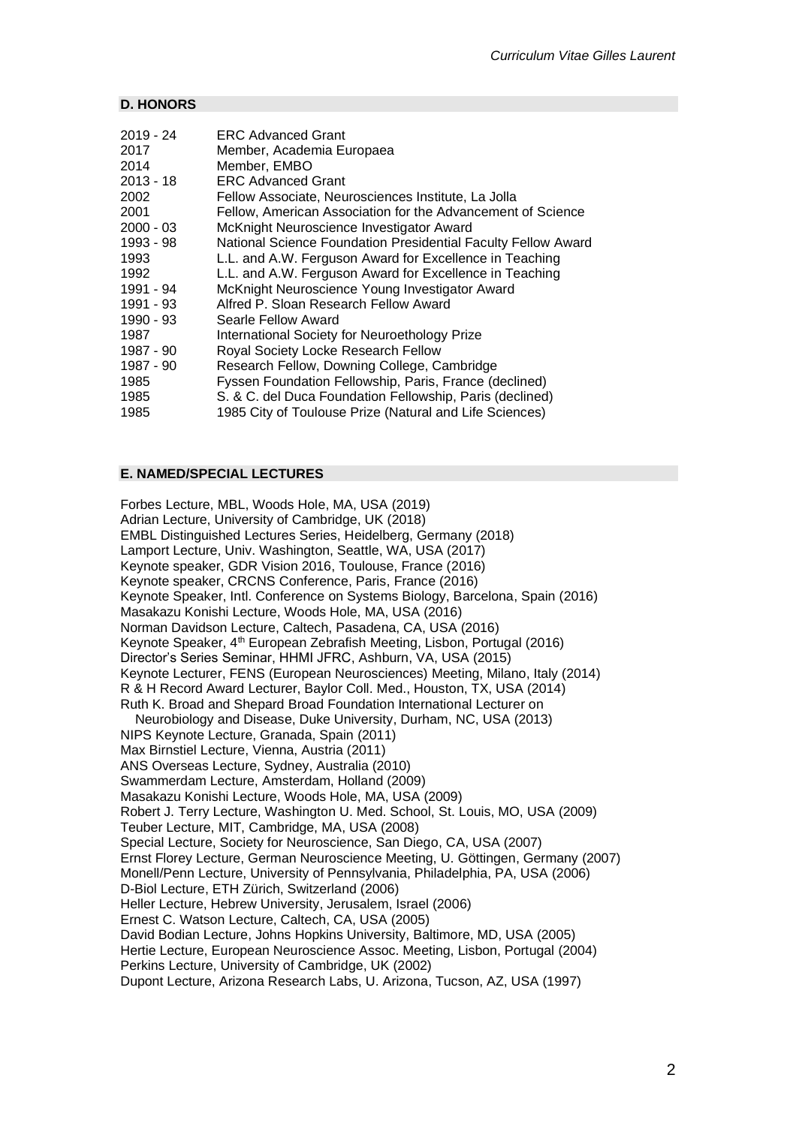### **D. HONORS**

| 2019 - 24 | <b>ERC Advanced Grant</b>                                     |
|-----------|---------------------------------------------------------------|
| 2017      | Member, Academia Europaea                                     |
| 2014      | Member, EMBO                                                  |
| 2013 - 18 | <b>ERC Advanced Grant</b>                                     |
| 2002      | Fellow Associate, Neurosciences Institute, La Jolla           |
| 2001      | Fellow, American Association for the Advancement of Science   |
| 2000 - 03 | McKnight Neuroscience Investigator Award                      |
| 1993 - 98 | National Science Foundation Presidential Faculty Fellow Award |
| 1993      | L.L. and A.W. Ferguson Award for Excellence in Teaching       |
| 1992      | L.L. and A.W. Ferguson Award for Excellence in Teaching       |
| 1991 - 94 | McKnight Neuroscience Young Investigator Award                |
| 1991 - 93 | Alfred P. Sloan Research Fellow Award                         |
| 1990 - 93 | Searle Fellow Award                                           |
| 1987      | International Society for Neuroethology Prize                 |
| 1987 - 90 | Royal Society Locke Research Fellow                           |
| 1987 - 90 | Research Fellow, Downing College, Cambridge                   |
| 1985      | Fyssen Foundation Fellowship, Paris, France (declined)        |
| 1985      | S. & C. del Duca Foundation Fellowship, Paris (declined)      |
| 1985      | 1985 City of Toulouse Prize (Natural and Life Sciences)       |
|           |                                                               |

### **E. NAMED/SPECIAL LECTURES**

Forbes Lecture, MBL, Woods Hole, MA, USA (2019) Adrian Lecture, University of Cambridge, UK (2018) EMBL Distinguished Lectures Series, Heidelberg, Germany (2018) Lamport Lecture, Univ. Washington, Seattle, WA, USA (2017) Keynote speaker, GDR Vision 2016, Toulouse, France (2016) Keynote speaker, CRCNS Conference, Paris, France (2016) Keynote Speaker, Intl. Conference on Systems Biology, Barcelona, Spain (2016) Masakazu Konishi Lecture, Woods Hole, MA, USA (2016) Norman Davidson Lecture, Caltech, Pasadena, CA, USA (2016) Keynote Speaker, 4th European Zebrafish Meeting, Lisbon, Portugal (2016) Director's Series Seminar, HHMI JFRC, Ashburn, VA, USA (2015) Keynote Lecturer, FENS (European Neurosciences) Meeting, Milano, Italy (2014) R & H Record Award Lecturer, Baylor Coll. Med., Houston, TX, USA (2014) Ruth K. Broad and Shepard Broad Foundation International Lecturer on Neurobiology and Disease, Duke University, Durham, NC, USA (2013) NIPS Keynote Lecture, Granada, Spain (2011) Max Birnstiel Lecture, Vienna, Austria (2011) ANS Overseas Lecture, Sydney, Australia (2010) Swammerdam Lecture, Amsterdam, Holland (2009) Masakazu Konishi Lecture, Woods Hole, MA, USA (2009) Robert J. Terry Lecture, Washington U. Med. School, St. Louis, MO, USA (2009) Teuber Lecture, MIT, Cambridge, MA, USA (2008) Special Lecture, Society for Neuroscience, San Diego, CA, USA (2007) Ernst Florey Lecture, German Neuroscience Meeting, U. Göttingen, Germany (2007) Monell/Penn Lecture, University of Pennsylvania, Philadelphia, PA, USA (2006) D-Biol Lecture, ETH Zürich, Switzerland (2006) Heller Lecture, Hebrew University, Jerusalem, Israel (2006) Ernest C. Watson Lecture, Caltech, CA, USA (2005) David Bodian Lecture, Johns Hopkins University, Baltimore, MD, USA (2005) Hertie Lecture, European Neuroscience Assoc. Meeting, Lisbon, Portugal (2004) Perkins Lecture, University of Cambridge, UK (2002) Dupont Lecture, Arizona Research Labs, U. Arizona, Tucson, AZ, USA (1997)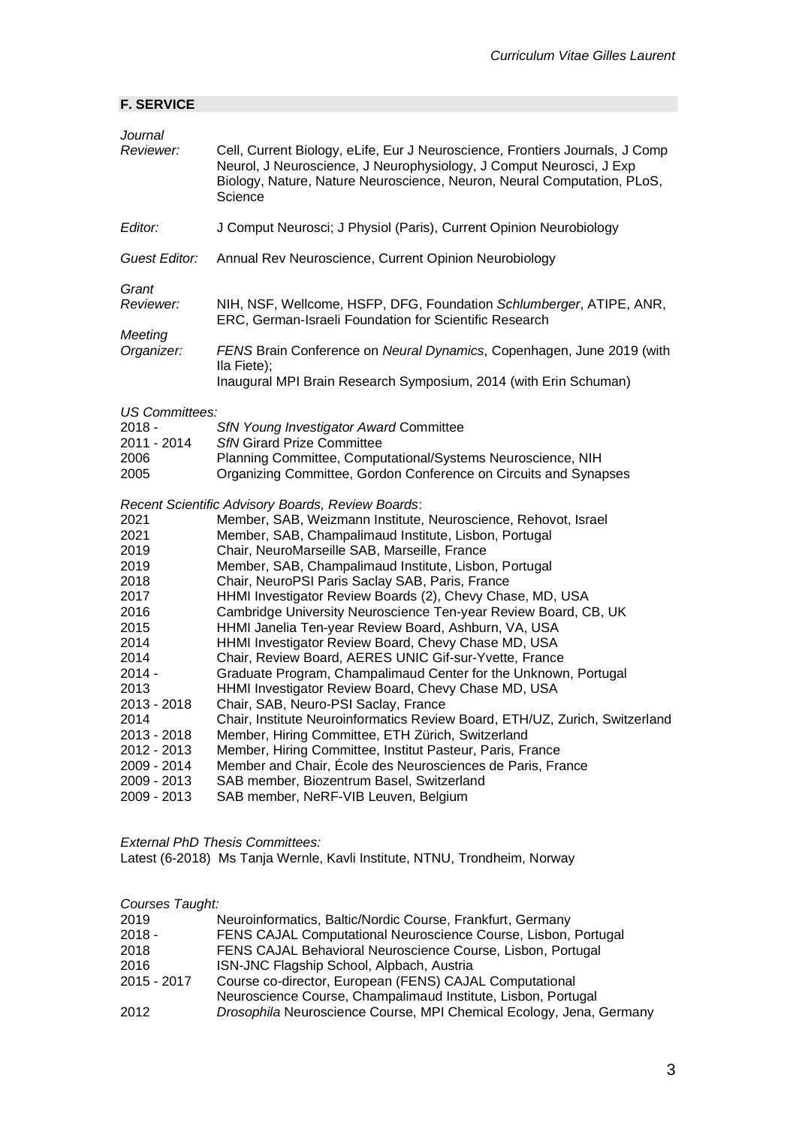| Journal<br>Reviewer:                                                                                                                                                                                                                                                   | Cell, Current Biology, eLife, Eur J Neuroscience, Frontiers Journals, J Comp<br>Neurol, J Neuroscience, J Neurophysiology, J Comput Neurosci, J Exp<br>Biology, Nature, Nature Neuroscience, Neuron, Neural Computation, PLoS,<br>Science                                                                                                                                                                                                                                                                                                                                                                                                                                                                                                                                                                                                                                                                                                                                                                                                                                                                                                                                                                                                                                                                                                                                                        |
|------------------------------------------------------------------------------------------------------------------------------------------------------------------------------------------------------------------------------------------------------------------------|--------------------------------------------------------------------------------------------------------------------------------------------------------------------------------------------------------------------------------------------------------------------------------------------------------------------------------------------------------------------------------------------------------------------------------------------------------------------------------------------------------------------------------------------------------------------------------------------------------------------------------------------------------------------------------------------------------------------------------------------------------------------------------------------------------------------------------------------------------------------------------------------------------------------------------------------------------------------------------------------------------------------------------------------------------------------------------------------------------------------------------------------------------------------------------------------------------------------------------------------------------------------------------------------------------------------------------------------------------------------------------------------------|
| Editor:                                                                                                                                                                                                                                                                | J Comput Neurosci; J Physiol (Paris), Current Opinion Neurobiology                                                                                                                                                                                                                                                                                                                                                                                                                                                                                                                                                                                                                                                                                                                                                                                                                                                                                                                                                                                                                                                                                                                                                                                                                                                                                                                               |
| <b>Guest Editor:</b>                                                                                                                                                                                                                                                   | Annual Rev Neuroscience, Current Opinion Neurobiology                                                                                                                                                                                                                                                                                                                                                                                                                                                                                                                                                                                                                                                                                                                                                                                                                                                                                                                                                                                                                                                                                                                                                                                                                                                                                                                                            |
| Grant<br>Reviewer:                                                                                                                                                                                                                                                     | NIH, NSF, Wellcome, HSFP, DFG, Foundation Schlumberger, ATIPE, ANR,<br>ERC, German-Israeli Foundation for Scientific Research                                                                                                                                                                                                                                                                                                                                                                                                                                                                                                                                                                                                                                                                                                                                                                                                                                                                                                                                                                                                                                                                                                                                                                                                                                                                    |
| Meeting<br>Organizer:                                                                                                                                                                                                                                                  | FENS Brain Conference on Neural Dynamics, Copenhagen, June 2019 (with<br>Ila Fiete);<br>Inaugural MPI Brain Research Symposium, 2014 (with Erin Schuman)                                                                                                                                                                                                                                                                                                                                                                                                                                                                                                                                                                                                                                                                                                                                                                                                                                                                                                                                                                                                                                                                                                                                                                                                                                         |
| <b>US Committees:</b><br>$2018 -$<br>2011 - 2014<br>2006<br>2005<br>2021<br>2021<br>2019<br>2019<br>2018<br>2017<br>2016<br>2015<br>2014<br>2014<br>$2014 -$<br>2013<br>2013 - 2018<br>2014<br>2013 - 2018<br>2012 - 2013<br>2009 - 2014<br>2009 - 2013<br>2009 - 2013 | <b>SfN Young Investigator Award Committee</b><br><b>SfN Girard Prize Committee</b><br>Planning Committee, Computational/Systems Neuroscience, NIH<br>Organizing Committee, Gordon Conference on Circuits and Synapses<br>Recent Scientific Advisory Boards, Review Boards:<br>Member, SAB, Weizmann Institute, Neuroscience, Rehovot, Israel<br>Member, SAB, Champalimaud Institute, Lisbon, Portugal<br>Chair, NeuroMarseille SAB, Marseille, France<br>Member, SAB, Champalimaud Institute, Lisbon, Portugal<br>Chair, NeuroPSI Paris Saclay SAB, Paris, France<br>HHMI Investigator Review Boards (2), Chevy Chase, MD, USA<br>Cambridge University Neuroscience Ten-year Review Board, CB, UK<br>HHMI Janelia Ten-year Review Board, Ashburn, VA, USA<br>HHMI Investigator Review Board, Chevy Chase MD, USA<br>Chair, Review Board, AERES UNIC Gif-sur-Yvette, France<br>Graduate Program, Champalimaud Center for the Unknown, Portugal<br>HHMI Investigator Review Board, Chevy Chase MD, USA<br>Chair, SAB, Neuro-PSI Saclay, France<br>Chair, Institute Neuroinformatics Review Board, ETH/UZ, Zurich, Switzerland<br>Member, Hiring Committee, ETH Zürich, Switzerland<br>Member, Hiring Committee, Institut Pasteur, Paris, France<br>Member and Chair, École des Neurosciences de Paris, France<br>SAB member, Biozentrum Basel, Switzerland<br>SAB member, NeRF-VIB Leuven, Belgium |

*External PhD Thesis Committees:* Latest (6-2018) Ms Tanja Wernle, Kavli Institute, NTNU, Trondheim, Norway

## *Courses Taught:*

**F. SERVICE**

| Neuroinformatics, Baltic/Nordic Course, Frankfurt, Germany          |
|---------------------------------------------------------------------|
| FENS CAJAL Computational Neuroscience Course, Lisbon, Portugal      |
| FENS CAJAL Behavioral Neuroscience Course, Lisbon, Portugal         |
| ISN-JNC Flagship School, Alpbach, Austria                           |
| Course co-director, European (FENS) CAJAL Computational             |
| Neuroscience Course, Champalimaud Institute, Lisbon, Portugal       |
| Drosophila Neuroscience Course, MPI Chemical Ecology, Jena, Germany |
|                                                                     |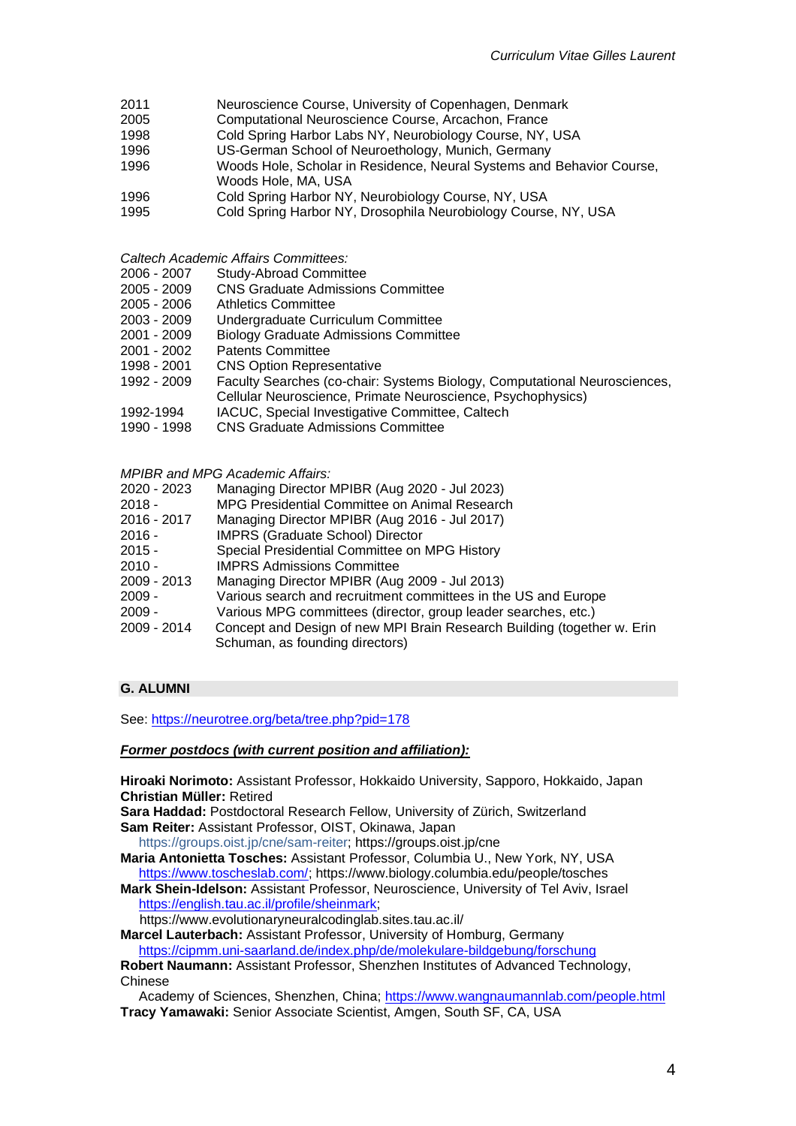- 2011 Neuroscience Course, University of Copenhagen, Denmark
- 2005 Computational Neuroscience Course, Arcachon, France
- 1998 Cold Spring Harbor Labs NY, Neurobiology Course, NY, USA
- 1996 US-German School of Neuroethology, Munich, Germany
- 1996 Woods Hole, Scholar in Residence, Neural Systems and Behavior Course, Woods Hole, MA, USA
- 
- 1996 Cold Spring Harbor NY, Neurobiology Course, NY, USA<br>1995 Cold Spring Harbor NY, Drosophila Neurobiology Course
- Cold Spring Harbor NY, Drosophila Neurobiology Course, NY, USA

*Caltech Academic Affairs Committees:* 

- 2006 2007 Study-Abroad Committee
- 2005 2009 CNS Graduate Admissions Committee
- 2005 2006 Athletics Committee
- 2003 2009 Undergraduate Curriculum Committee
- 2001 2009 Biology Graduate Admissions Committee
- Patents Committee
- 1998 2001 CNS Option Representative
- 1992 2009 Faculty Searches (co-chair: Systems Biology, Computational Neurosciences,
- Cellular Neuroscience, Primate Neuroscience, Psychophysics)
- 1992-1994 IACUC, Special Investigative Committee, Caltech
- 1990 1998 CNS Graduate Admissions Committee

*MPIBR and MPG Academic Affairs:*

- 2020 2023 Managing Director MPIBR (Aug 2020 Jul 2023)
- 2018 MPG Presidential Committee on Animal Research<br>2016 2017 Managing Director MPIBR (Aug 2016 Jul 2017)
- 2016 2017 Managing Director MPIBR (Aug 2016 Jul 2017)
- 2016 IMPRS (Graduate School) Director
- 2015 Special Presidential Committee on MPG History
- 2010 IMPRS Admissions Committee
- 2009 2013 Managing Director MPIBR (Aug 2009 Jul 2013)
- 2009 Various search and recruitment committees in the US and Europe
- 2009 Various MPG committees (director, group leader searches, etc.)
- 2009 2014 Concept and Design of new MPI Brain Research Building (together w. Erin Schuman, as founding directors)

### **G. ALUMNI**

See:<https://neurotree.org/beta/tree.php?pid=178>

#### *Former postdocs (with current position and affiliation):*

**Hiroaki Norimoto:** Assistant Professor, Hokkaido University, Sapporo, Hokkaido, Japan **Christian Müller:** Retired

**Sara Haddad:** Postdoctoral Research Fellow, University of Zürich, Switzerland **Sam Reiter:** Assistant Professor, OIST, Okinawa, Japan

https://groups.oist.jp/cne/sam-reiter; https://groups.oist.jp/cne

**Maria Antonietta Tosches:** Assistant Professor, Columbia U., New York, NY, USA [https://www.toscheslab.com/;](https://www.toscheslab.com/) https://www.biology.columbia.edu/people/tosches

**Mark Shein-Idelson:** Assistant Professor, Neuroscience, University of Tel Aviv, Israel [https://english.tau.ac.il/profile/sheinmark;](https://english.tau.ac.il/profile/sheinmark)

https://www.evolutionaryneuralcodinglab.sites.tau.ac.il/

**Marcel Lauterbach:** Assistant Professor, University of Homburg, Germany <https://cipmm.uni-saarland.de/index.php/de/molekulare-bildgebung/forschung>

**Robert Naumann:** Assistant Professor, Shenzhen Institutes of Advanced Technology, Chinese

 Academy of Sciences, Shenzhen, China;<https://www.wangnaumannlab.com/people.html> **Tracy Yamawaki:** Senior Associate Scientist, Amgen, South SF, CA, USA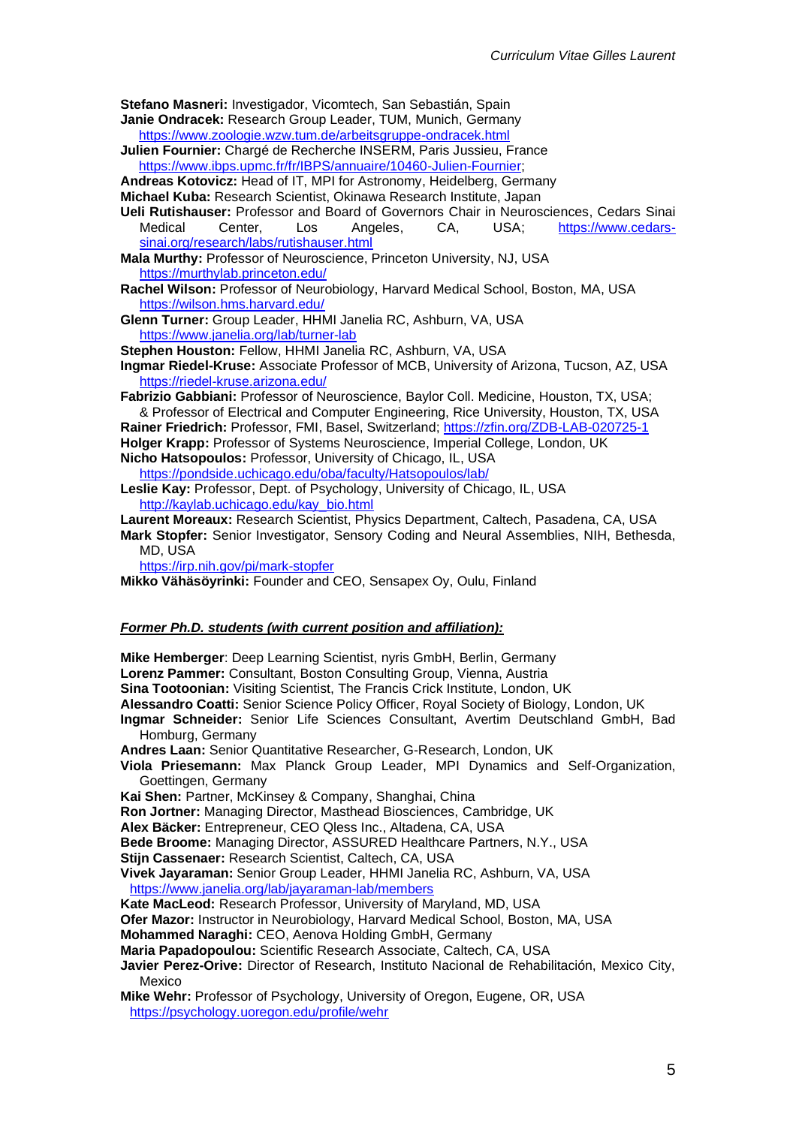**Stefano Masneri:** Investigador, Vicomtech, San Sebastián, Spain

- **Janie Ondracek:** Research Group Leader, TUM, Munich, Germany <https://www.zoologie.wzw.tum.de/arbeitsgruppe-ondracek.html>
- **Julien Fournier:** Chargé de Recherche INSERM, Paris Jussieu, France [https://www.ibps.upmc.fr/fr/IBPS/annuaire/10460-Julien-Fournier;](https://www.ibps.upmc.fr/fr/IBPS/annuaire/10460-Julien-Fournier)

**Andreas Kotovicz:** Head of IT, MPI for Astronomy, Heidelberg, Germany

- **Michael Kuba:** Research Scientist, Okinawa Research Institute, Japan
- **Ueli Rutishauser:** Professor and Board of Governors Chair in Neurosciences, Cedars Sinai Medical Center, Los Angeles, CA, USA; [https://www.cedars](https://www.cedars-sinai.org/research/labs/rutishauser.html)[sinai.org/research/labs/rutishauser.html](https://www.cedars-sinai.org/research/labs/rutishauser.html)
- **Mala Murthy:** Professor of Neuroscience, Princeton University, NJ, USA <https://murthylab.princeton.edu/>
- **Rachel Wilson:** Professor of Neurobiology, Harvard Medical School, Boston, MA, USA <https://wilson.hms.harvard.edu/>
- **Glenn Turner:** Group Leader, HHMI Janelia RC, Ashburn, VA, USA <https://www.janelia.org/lab/turner-lab>
- **Stephen Houston:** Fellow, HHMI Janelia RC, Ashburn, VA, USA
- **Ingmar Riedel-Kruse:** Associate Professor of MCB, University of Arizona, Tucson, AZ, USA <https://riedel-kruse.arizona.edu/>
- **Fabrizio Gabbiani:** Professor of Neuroscience, Baylor Coll. Medicine, Houston, TX, USA; & Professor of Electrical and Computer Engineering, Rice University, Houston, TX, USA **Rainer Friedrich:** Professor, FMI, Basel, Switzerland;<https://zfin.org/ZDB-LAB-020725-1>

**Holger Krapp:** Professor of Systems Neuroscience, Imperial College, London, UK **Nicho Hatsopoulos:** Professor, University of Chicago, IL, USA

- <https://pondside.uchicago.edu/oba/faculty/Hatsopoulos/lab/>
- **Leslie Kay:** Professor, Dept. of Psychology, University of Chicago, IL, USA [http://kaylab.uchicago.edu/kay\\_bio.html](http://kaylab.uchicago.edu/kay_bio.html)
- **Laurent Moreaux:** Research Scientist, Physics Department, Caltech, Pasadena, CA, USA **Mark Stopfer:** Senior Investigator, Sensory Coding and Neural Assemblies, NIH, Bethesda,
	- MD, USA

<https://irp.nih.gov/pi/mark-stopfer>

**Mikko Vähäsöyrinki:** Founder and CEO, Sensapex Oy, Oulu, Finland

### *Former Ph.D. students (with current position and affiliation):*

**Mike Hemberger**: Deep Learning Scientist, nyris GmbH, Berlin, Germany **Lorenz Pammer:** Consultant, Boston Consulting Group, Vienna, Austria **Sina Tootoonian:** Visiting Scientist, The Francis Crick Institute, London, UK **Alessandro Coatti:** Senior Science Policy Officer, Royal Society of Biology, London, UK **Ingmar Schneider:** Senior Life Sciences Consultant, Avertim Deutschland GmbH, Bad Homburg, Germany **Andres Laan:** Senior Quantitative Researcher, G-Research, London, UK **Viola Priesemann:** Max Planck Group Leader, MPI Dynamics and Self-Organization, Goettingen, Germany **Kai Shen:** Partner, McKinsey & Company, Shanghai, China **Ron Jortner:** Managing Director, Masthead Biosciences, Cambridge, UK **Alex Bäcker:** Entrepreneur, CEO Qless Inc., Altadena, CA, USA **Bede Broome:** Managing Director, ASSURED Healthcare Partners, N.Y., USA **Stijn Cassenaer:** Research Scientist, Caltech, CA, USA **Vivek Jayaraman:** Senior Group Leader, HHMI Janelia RC, Ashburn, VA, USA <https://www.janelia.org/lab/jayaraman-lab/members> **Kate MacLeod:** Research Professor, University of Maryland, MD, USA **Ofer Mazor:** Instructor in Neurobiology, Harvard Medical School, Boston, MA, USA **Mohammed Naraghi:** CEO, Aenova Holding GmbH, Germany **Maria Papadopoulou:** Scientific Research Associate, Caltech, CA, USA **Javier Perez-Orive:** Director of Research, Instituto Nacional de Rehabilitación, Mexico City, Mexico **Mike Wehr:** Professor of Psychology, University of Oregon, Eugene, OR, USA

<https://psychology.uoregon.edu/profile/wehr>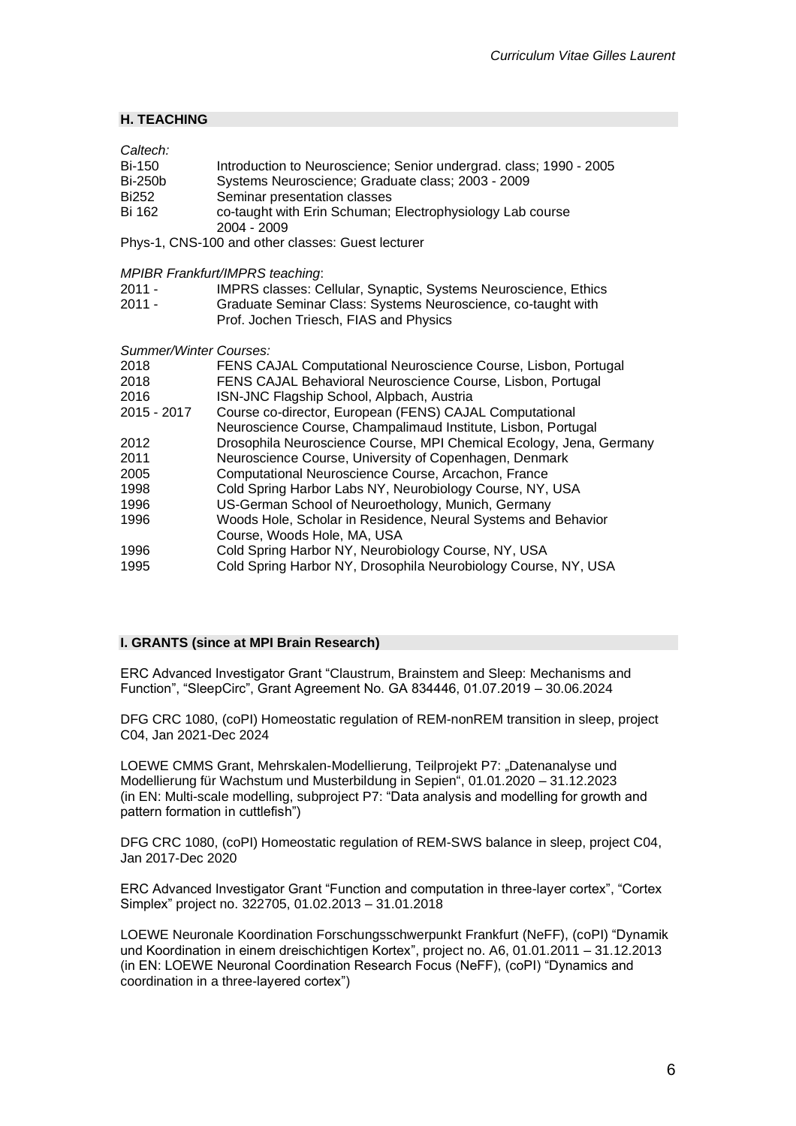## **H. TEACHING**

| Caltech:<br><b>Bi-150</b><br><b>Bi-250b</b> | Introduction to Neuroscience; Senior undergrad. class; 1990 - 2005<br>Systems Neuroscience; Graduate class; 2003 - 2009                                                   |
|---------------------------------------------|---------------------------------------------------------------------------------------------------------------------------------------------------------------------------|
| Bi252<br>Bi 162                             | Seminar presentation classes<br>co-taught with Erin Schuman; Electrophysiology Lab course<br>2004 - 2009                                                                  |
|                                             | Phys-1, CNS-100 and other classes: Guest lecturer                                                                                                                         |
|                                             | MPIBR Frankfurt/IMPRS teaching:                                                                                                                                           |
| 2011 -<br>2011 -                            | IMPRS classes: Cellular, Synaptic, Systems Neuroscience, Ethics<br>Graduate Seminar Class: Systems Neuroscience, co-taught with<br>Prof. Jochen Triesch, FIAS and Physics |
| Summer/Winter Courses:                      |                                                                                                                                                                           |
| 2018                                        | FENS CAJAL Computational Neuroscience Course, Lisbon, Portugal                                                                                                            |
| 2018<br>2016                                | FENS CAJAL Behavioral Neuroscience Course, Lisbon, Portugal<br>ISN-JNC Flagship School, Alpbach, Austria                                                                  |
| 2015 - 2017                                 | Course co-director, European (FENS) CAJAL Computational<br>Neuroscience Course, Champalimaud Institute, Lisbon, Portugal                                                  |
| 2012                                        | Drosophila Neuroscience Course, MPI Chemical Ecology, Jena, Germany                                                                                                       |
| 2011                                        | Neuroscience Course, University of Copenhagen, Denmark                                                                                                                    |
| 2005                                        | Computational Neuroscience Course, Arcachon, France                                                                                                                       |
| 1998                                        | Cold Spring Harbor Labs NY, Neurobiology Course, NY, USA                                                                                                                  |
| 1996                                        | US-German School of Neuroethology, Munich, Germany                                                                                                                        |
| 1996                                        | Woods Hole, Scholar in Residence, Neural Systems and Behavior<br>Course, Woods Hole, MA, USA                                                                              |
| 1996                                        | Cold Spring Harbor NY, Neurobiology Course, NY, USA                                                                                                                       |
| 1995                                        | Cold Spring Harbor NY, Drosophila Neurobiology Course, NY, USA                                                                                                            |

## **I. GRANTS (since at MPI Brain Research)**

ERC Advanced Investigator Grant "Claustrum, Brainstem and Sleep: Mechanisms and Function", "SleepCirc", Grant Agreement No. GA 834446, 01.07.2019 – 30.06.2024

DFG CRC 1080, (coPI) Homeostatic regulation of REM-nonREM transition in sleep, project C04, Jan 2021-Dec 2024

LOEWE CMMS Grant, Mehrskalen-Modellierung, Teilprojekt P7: "Datenanalyse und Modellierung für Wachstum und Musterbildung in Sepien", 01.01.2020 – 31.12.2023 (in EN: Multi-scale modelling, subproject P7: "Data analysis and modelling for growth and pattern formation in cuttlefish")

DFG CRC 1080, (coPI) Homeostatic regulation of REM-SWS balance in sleep, project C04, Jan 2017-Dec 2020

ERC Advanced Investigator Grant "Function and computation in three-layer cortex", "Cortex Simplex" project no. 322705, 01.02.2013 – 31.01.2018

LOEWE Neuronale Koordination Forschungsschwerpunkt Frankfurt (NeFF), (coPI) "Dynamik und Koordination in einem dreischichtigen Kortex", project no. A6, 01.01.2011 – 31.12.2013 (in EN: LOEWE Neuronal Coordination Research Focus (NeFF), (coPI) "Dynamics and coordination in a three-layered cortex")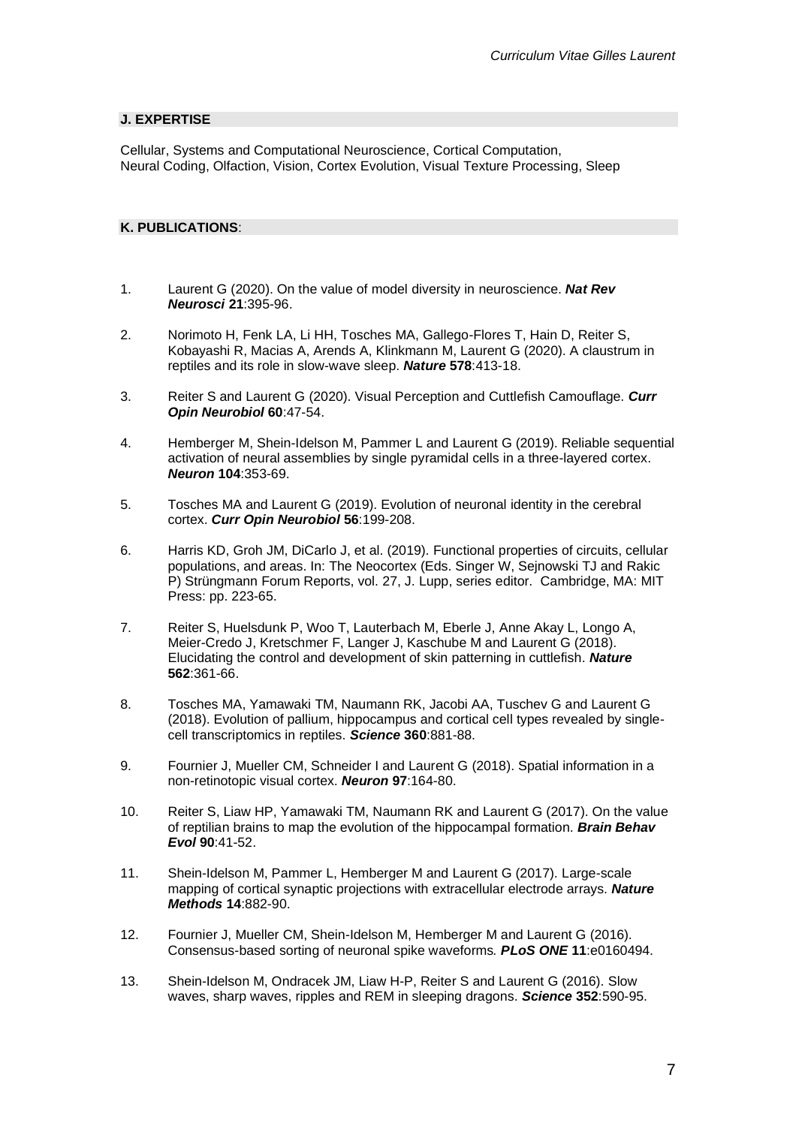### **J. EXPERTISE**

Cellular, Systems and Computational Neuroscience, Cortical Computation, Neural Coding, Olfaction, Vision, Cortex Evolution, Visual Texture Processing, Sleep

## **K. PUBLICATIONS**:

- 1. Laurent G (2020). On the value of model diversity in neuroscience. *Nat Rev Neurosci* **21**:395-96.
- 2. Norimoto H, Fenk LA, Li HH, Tosches MA, Gallego-Flores T, Hain D, Reiter S, Kobayashi R, Macias A, Arends A, Klinkmann M, Laurent G (2020). A claustrum in reptiles and its role in slow-wave sleep. *Nature* **578**:413-18.
- 3. Reiter S and Laurent G (2020). Visual Perception and Cuttlefish Camouflage. *Curr Opin Neurobiol* **60**:47-54.
- 4. Hemberger M, Shein-Idelson M, Pammer L and Laurent G (2019). Reliable sequential activation of neural assemblies by single pyramidal cells in a three-layered cortex. *Neuron* **104**:353-69.
- 5. Tosches MA and Laurent G (2019). Evolution of neuronal identity in the cerebral cortex. *Curr Opin Neurobiol* **56**:199-208.
- 6. Harris KD, Groh JM, DiCarlo J, et al. (2019). Functional properties of circuits, cellular populations, and areas. In: The Neocortex (Eds. Singer W, Sejnowski TJ and Rakic P) Strüngmann Forum Reports, vol. 27, J. Lupp, series editor. Cambridge, MA: MIT Press: pp. 223-65.
- 7. Reiter S, Huelsdunk P, Woo T, Lauterbach M, Eberle J, Anne Akay L, Longo A, Meier-Credo J, Kretschmer F, Langer J, Kaschube M and Laurent G (2018). Elucidating the control and development of skin patterning in cuttlefish. *Nature* **562**:361-66.
- 8. Tosches MA, Yamawaki TM, Naumann RK, Jacobi AA, Tuschev G and Laurent G (2018). Evolution of pallium, hippocampus and cortical cell types revealed by singlecell transcriptomics in reptiles. *Science* **360**:881-88.
- 9. Fournier J, Mueller CM, Schneider I and Laurent G (2018). Spatial information in a non-retinotopic visual cortex. *Neuron* **97**:164-80.
- 10. Reiter S, Liaw HP, Yamawaki TM, Naumann RK and Laurent G (2017). On the value of reptilian brains to map the evolution of the hippocampal formation. *Brain Behav Evol* **90**:41-52.
- 11. Shein-Idelson M, Pammer L, Hemberger M and Laurent G (2017). Large-scale mapping of cortical synaptic projections with extracellular electrode arrays. *Nature Methods* **14**:882-90.
- 12. Fournier J, Mueller CM, Shein-Idelson M, Hemberger M and Laurent G (2016). Consensus-based sorting of neuronal spike waveforms*. PLoS ONE* **11**:e0160494.
- 13. Shein-Idelson M, Ondracek JM, Liaw H-P, Reiter S and Laurent G (2016). Slow waves, sharp waves, ripples and REM in sleeping dragons. *Science* **352**:590-95.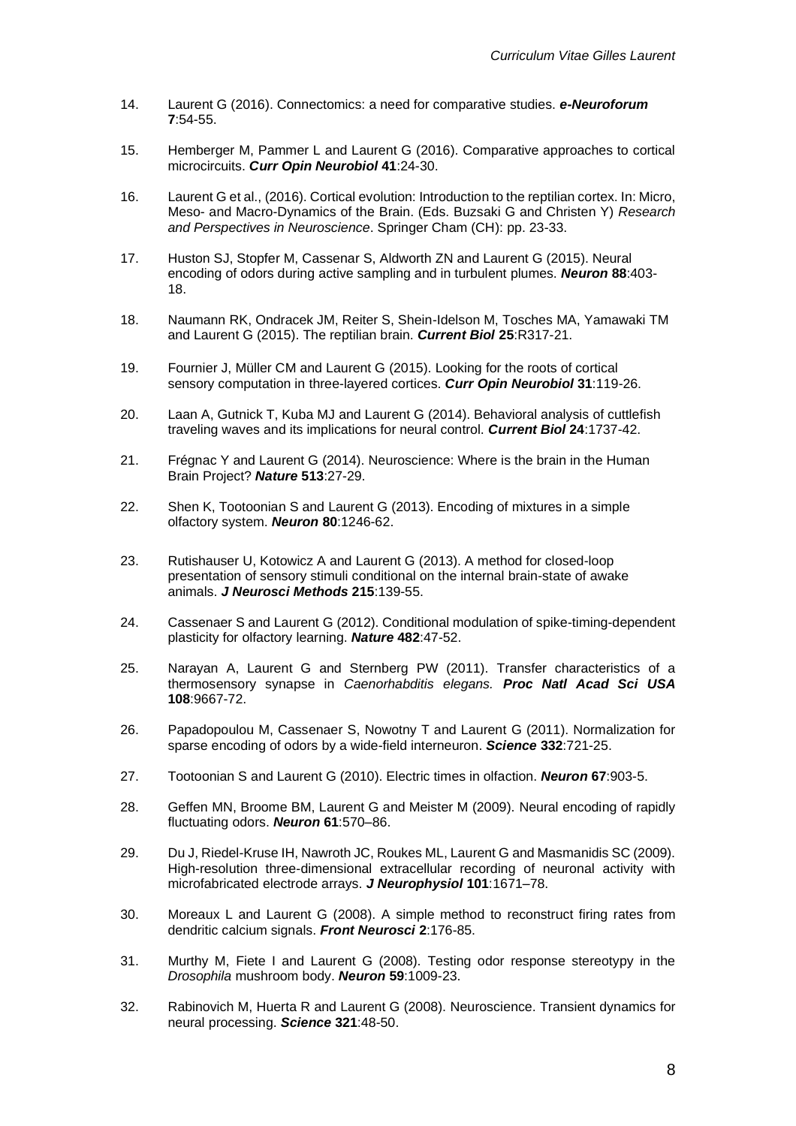- 14. Laurent G (2016). Connectomics: a need for comparative studies. *e-Neuroforum* **7**:54-55.
- 15. Hemberger M, Pammer L and Laurent G (2016). Comparative approaches to cortical microcircuits. *Curr Opin Neurobiol* **41**:24-30.
- 16. Laurent G et al., (2016). Cortical evolution: Introduction to the reptilian cortex. In: Micro, Meso- and Macro-Dynamics of the Brain. (Eds. Buzsaki G and Christen Y) *Research and Perspectives in Neuroscience*. Springer Cham (CH): pp. 23-33.
- 17. Huston SJ, Stopfer M, Cassenar S, Aldworth ZN and Laurent G (2015). Neural encoding of odors during active sampling and in turbulent plumes. *Neuron* **88**:403- 18.
- 18. Naumann RK, Ondracek JM, Reiter S, Shein-Idelson M, Tosches MA, Yamawaki TM and Laurent G (2015). The reptilian brain. *Current Biol* **25**:R317-21.
- 19. Fournier J, Müller CM and Laurent G (2015). Looking for the roots of cortical sensory computation in three-layered cortices. *Curr Opin Neurobiol* **31**:119-26.
- 20. Laan A, Gutnick T, Kuba MJ and Laurent G (2014). Behavioral analysis of cuttlefish traveling waves and its implications for neural control. *Current Biol* **24**:1737-42.
- 21. Frégnac Y and Laurent G (2014). Neuroscience: Where is the brain in the Human Brain Project? *Nature* **513**:27-29.
- 22. Shen K, Tootoonian S and Laurent G (2013). Encoding of mixtures in a simple olfactory system. *Neuron* **80**:1246-62.
- 23. Rutishauser U, Kotowicz A and Laurent G (2013). A method for closed-loop presentation of sensory stimuli conditional on the internal brain-state of awake animals. *J Neurosci Methods* **215**:139-55.
- 24. Cassenaer S and Laurent G (2012). Conditional modulation of spike-timing-dependent plasticity for olfactory learning. *Nature* **482**:47-52.
- 25. Narayan A, Laurent G and Sternberg PW (2011). Transfer characteristics of a thermosensory synapse in *Caenorhabditis elegans. Proc Natl Acad Sci USA* **108**:9667-72.
- 26. Papadopoulou M, Cassenaer S, Nowotny T and Laurent G (2011). Normalization for sparse encoding of odors by a wide-field interneuron. *Science* **332**:721-25.
- 27. Tootoonian S and Laurent G (2010). Electric times in olfaction. *Neuron* **67**:903-5.
- 28. Geffen MN, Broome BM, Laurent G and Meister M (2009). Neural encoding of rapidly fluctuating odors. *Neuron* **61**:570–86.
- 29. Du J, Riedel-Kruse IH, Nawroth JC, Roukes ML, Laurent G and Masmanidis SC (2009). High-resolution three-dimensional extracellular recording of neuronal activity with microfabricated electrode arrays. *J Neurophysiol* **101**:1671–78.
- 30. Moreaux L and Laurent G (2008). A simple method to reconstruct firing rates from dendritic calcium signals. *Front Neurosci* **2**:176-85.
- 31. Murthy M, Fiete I and Laurent G (2008). Testing odor response stereotypy in the *Drosophila* mushroom body. *Neuron* **59**:1009-23.
- 32. Rabinovich M, Huerta R and Laurent G (2008). Neuroscience. Transient dynamics for neural processing. *Science* **321**:48-50.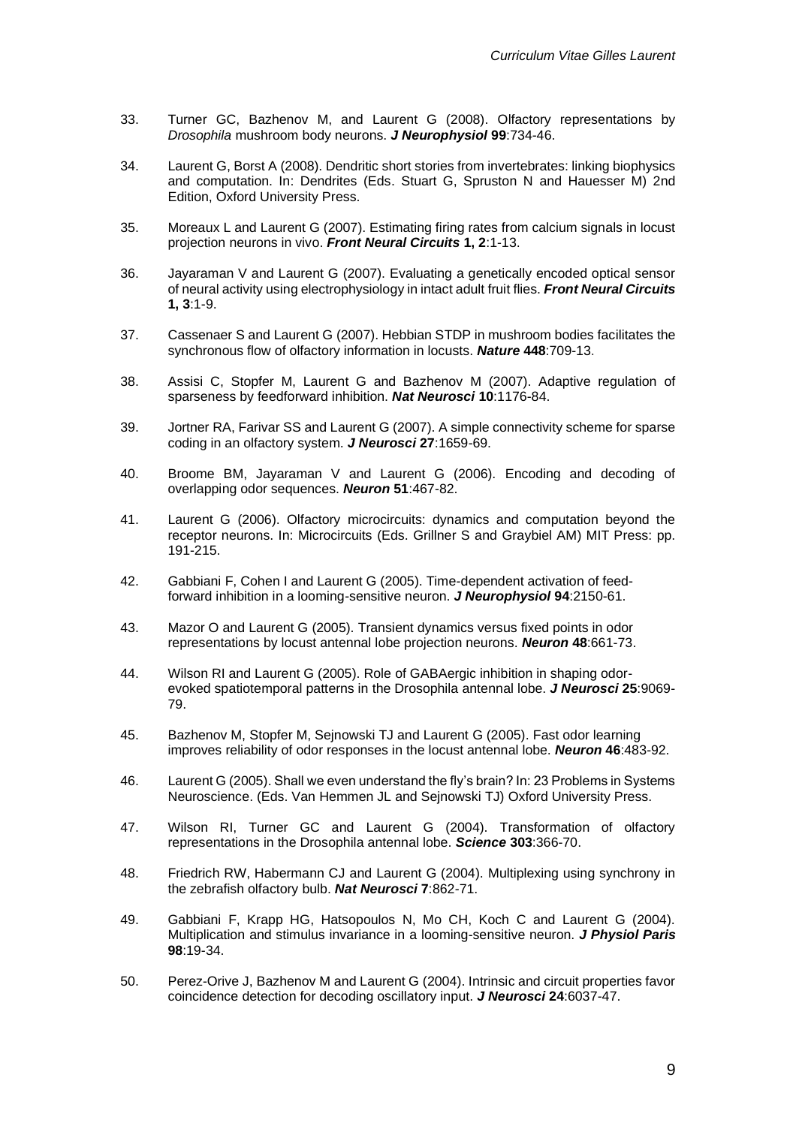- 33. Turner GC, Bazhenov M, and Laurent G (2008). Olfactory representations by *Drosophila* mushroom body neurons. *J Neurophysiol* **99**:734-46.
- 34. Laurent G, Borst A (2008). Dendritic short stories from invertebrates: linking biophysics and computation. In: Dendrites (Eds. Stuart G, Spruston N and Hauesser M) 2nd Edition, Oxford University Press.
- 35. Moreaux L and Laurent G (2007). Estimating firing rates from calcium signals in locust projection neurons in vivo. *Front Neural Circuits* **1, 2**:1-13.
- 36. Jayaraman V and Laurent G (2007). Evaluating a genetically encoded optical sensor of neural activity using electrophysiology in intact adult fruit flies. *Front Neural Circuits* **1, 3**:1-9.
- 37. Cassenaer S and Laurent G (2007). Hebbian STDP in mushroom bodies facilitates the synchronous flow of olfactory information in locusts. *Nature* **448**:709-13.
- 38. Assisi C, Stopfer M, Laurent G and Bazhenov M (2007). Adaptive regulation of sparseness by feedforward inhibition. *Nat Neurosci* **10**:1176-84.
- 39. Jortner RA, Farivar SS and Laurent G (2007). A simple connectivity scheme for sparse coding in an olfactory system. *J Neurosci* **27**:1659-69.
- 40. Broome BM, Jayaraman V and Laurent G (2006). Encoding and decoding of overlapping odor sequences. *Neuron* **51**:467-82.
- 41. Laurent G (2006). Olfactory microcircuits: dynamics and computation beyond the receptor neurons. In: Microcircuits (Eds. Grillner S and Graybiel AM) MIT Press: pp. 191-215.
- 42. Gabbiani F, Cohen I and Laurent G (2005). Time-dependent activation of feedforward inhibition in a looming-sensitive neuron. *J Neurophysiol* **94**:2150-61.
- 43. Mazor O and Laurent G (2005). Transient dynamics versus fixed points in odor representations by locust antennal lobe projection neurons. *Neuron* **48**:661-73.
- 44. Wilson RI and Laurent G (2005). Role of GABAergic inhibition in shaping odorevoked spatiotemporal patterns in the Drosophila antennal lobe. *J Neurosci* **25**:9069- 79.
- 45. Bazhenov M, Stopfer M, Sejnowski TJ and Laurent G (2005). Fast odor learning improves reliability of odor responses in the locust antennal lobe. *Neuron* **46**:483-92.
- 46. Laurent G (2005). Shall we even understand the fly's brain? In: 23 Problems in Systems Neuroscience. (Eds. Van Hemmen JL and Sejnowski TJ) Oxford University Press.
- 47. Wilson RI, Turner GC and Laurent G (2004). Transformation of olfactory representations in the Drosophila antennal lobe. *Science* **303**:366-70.
- 48. Friedrich RW, Habermann CJ and Laurent G (2004). Multiplexing using synchrony in the zebrafish olfactory bulb. *Nat Neurosci* **7**:862-71.
- 49. Gabbiani F, Krapp HG, Hatsopoulos N, Mo CH, Koch C and Laurent G (2004). Multiplication and stimulus invariance in a looming-sensitive neuron. *J Physiol Paris* **98**:19-34.
- 50. Perez-Orive J, Bazhenov M and Laurent G (2004). Intrinsic and circuit properties favor coincidence detection for decoding oscillatory input. *J Neurosci* **24**:6037-47.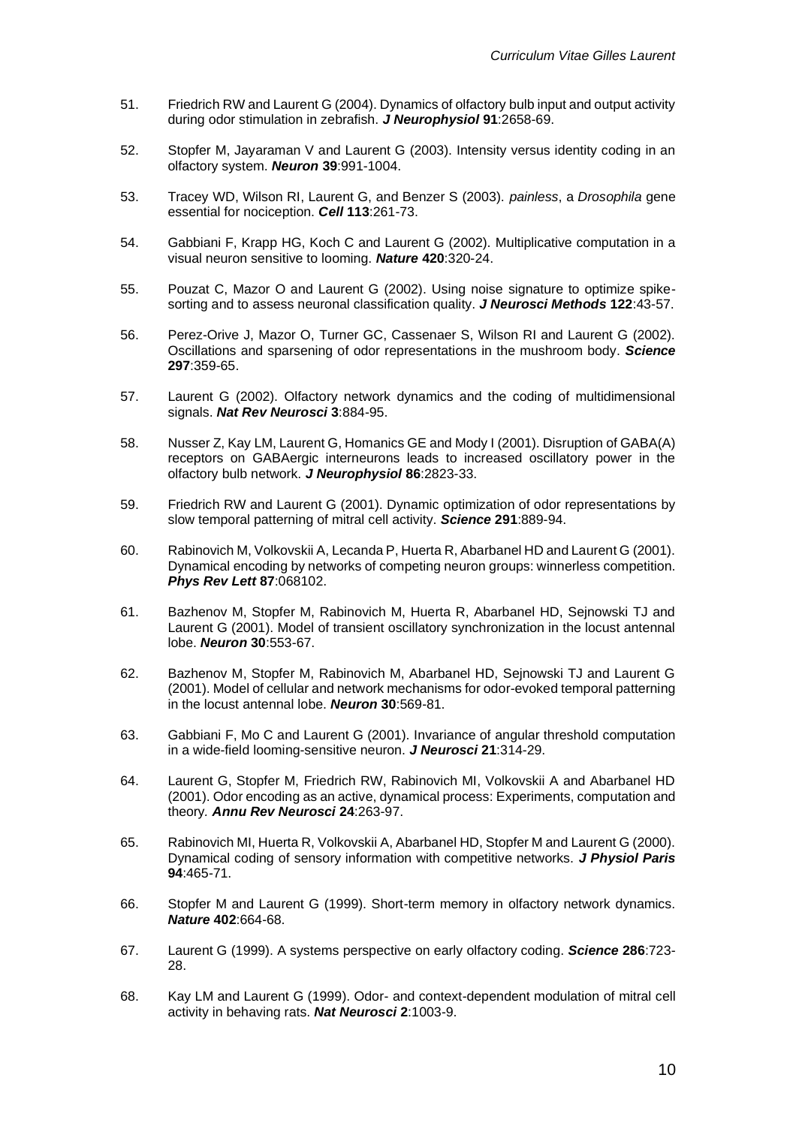- 51. Friedrich RW and Laurent G (2004). Dynamics of olfactory bulb input and output activity during odor stimulation in zebrafish. *J Neurophysiol* **91**:2658-69.
- 52. Stopfer M, Jayaraman V and Laurent G (2003). Intensity versus identity coding in an olfactory system. *Neuron* **39**:991-1004.
- 53. Tracey WD, Wilson RI, Laurent G, and Benzer S (2003). *painless*, a *Drosophila* gene essential for nociception. *Cell* **113**:261-73.
- 54. Gabbiani F, Krapp HG, Koch C and Laurent G (2002). Multiplicative computation in a visual neuron sensitive to looming. *Nature* **420**:320-24.
- 55. Pouzat C, Mazor O and Laurent G (2002). Using noise signature to optimize spikesorting and to assess neuronal classification quality. *J Neurosci Methods* **122**:43-57.
- 56. Perez-Orive J, Mazor O, Turner GC, Cassenaer S, Wilson RI and Laurent G (2002). Oscillations and sparsening of odor representations in the mushroom body. *Science* **297**:359-65.
- 57. Laurent G (2002). Olfactory network dynamics and the coding of multidimensional signals. *Nat Rev Neurosci* **3**:884-95.
- 58. Nusser Z, Kay LM, Laurent G, Homanics GE and Mody I (2001). Disruption of GABA(A) receptors on GABAergic interneurons leads to increased oscillatory power in the olfactory bulb network. *J Neurophysiol* **86**:2823-33.
- 59. Friedrich RW and Laurent G (2001). Dynamic optimization of odor representations by slow temporal patterning of mitral cell activity. *Science* **291**:889-94.
- 60. Rabinovich M, Volkovskii A, Lecanda P, Huerta R, Abarbanel HD and Laurent G (2001). Dynamical encoding by networks of competing neuron groups: winnerless competition. *Phys Rev Lett* **87**:068102.
- 61. Bazhenov M, Stopfer M, Rabinovich M, Huerta R, Abarbanel HD, Sejnowski TJ and Laurent G (2001). Model of transient oscillatory synchronization in the locust antennal lobe. *Neuron* **30**:553-67.
- 62. Bazhenov M, Stopfer M, Rabinovich M, Abarbanel HD, Sejnowski TJ and Laurent G (2001). Model of cellular and network mechanisms for odor-evoked temporal patterning in the locust antennal lobe. *Neuron* **30**:569-81.
- 63. Gabbiani F, Mo C and Laurent G (2001). Invariance of angular threshold computation in a wide-field looming-sensitive neuron. *J Neurosci* **21**:314-29.
- 64. Laurent G, Stopfer M, Friedrich RW, Rabinovich MI, Volkovskii A and Abarbanel HD (2001). Odor encoding as an active, dynamical process: Experiments, computation and theory*. Annu Rev Neurosci* **24**:263-97.
- 65. Rabinovich MI, Huerta R, Volkovskii A, Abarbanel HD, Stopfer M and Laurent G (2000). Dynamical coding of sensory information with competitive networks. *J Physiol Paris* **94**:465-71.
- 66. Stopfer M and Laurent G (1999). Short-term memory in olfactory network dynamics. *Nature* **402**:664-68.
- 67. Laurent G (1999). A systems perspective on early olfactory coding. *Science* **286**:723- 28.
- 68. Kay LM and Laurent G (1999). Odor- and context-dependent modulation of mitral cell activity in behaving rats. *Nat Neurosci* **2**:1003-9.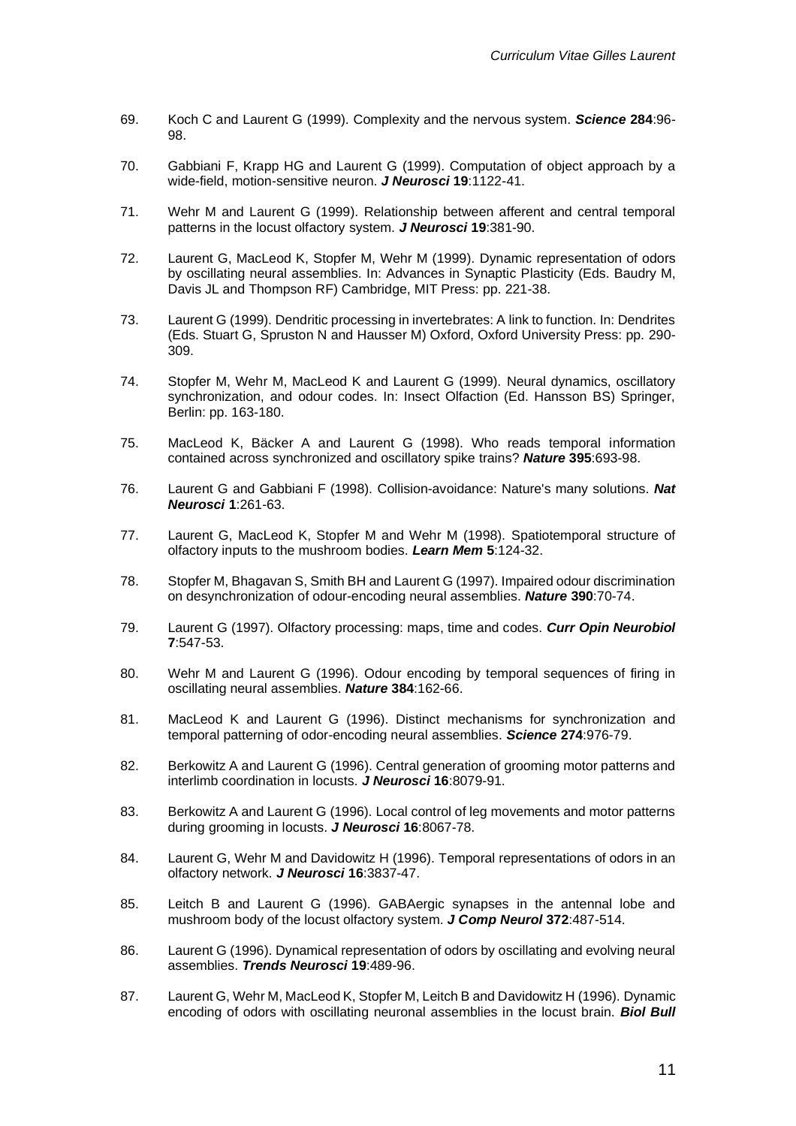- 69. Koch C and Laurent G (1999). Complexity and the nervous system. *Science* **284**:96- 98.
- 70. Gabbiani F, Krapp HG and Laurent G (1999). Computation of object approach by a wide-field, motion-sensitive neuron. *J Neurosci* **19**:1122-41.
- 71. Wehr M and Laurent G (1999). Relationship between afferent and central temporal patterns in the locust olfactory system. *J Neurosci* **19**:381-90.
- 72. Laurent G, MacLeod K, Stopfer M, Wehr M (1999). Dynamic representation of odors by oscillating neural assemblies. In: Advances in Synaptic Plasticity (Eds. Baudry M, Davis JL and Thompson RF) Cambridge, MIT Press: pp. 221-38.
- 73. Laurent G (1999). Dendritic processing in invertebrates: A link to function. In: Dendrites (Eds. Stuart G, Spruston N and Hausser M) Oxford, Oxford University Press: pp. 290- 309.
- 74. Stopfer M, Wehr M, MacLeod K and Laurent G (1999). Neural dynamics, oscillatory synchronization, and odour codes. In: Insect Olfaction (Ed. Hansson BS) Springer, Berlin: pp. 163-180.
- 75. MacLeod K, Bäcker A and Laurent G (1998). Who reads temporal information contained across synchronized and oscillatory spike trains? *Nature* **395**:693-98.
- 76. Laurent G and Gabbiani F (1998). Collision-avoidance: Nature's many solutions. *Nat Neurosci* **1**:261-63.
- 77. Laurent G, MacLeod K, Stopfer M and Wehr M (1998). Spatiotemporal structure of olfactory inputs to the mushroom bodies. *Learn Mem* **5**:124-32.
- 78. Stopfer M, Bhagavan S, Smith BH and Laurent G (1997). Impaired odour discrimination on desynchronization of odour-encoding neural assemblies. *Nature* **390**:70-74.
- 79. Laurent G (1997). Olfactory processing: maps, time and codes. *Curr Opin Neurobiol* **7**:547-53.
- 80. Wehr M and Laurent G (1996). Odour encoding by temporal sequences of firing in oscillating neural assemblies. *Nature* **384**:162-66.
- 81. MacLeod K and Laurent G (1996). Distinct mechanisms for synchronization and temporal patterning of odor-encoding neural assemblies. *Science* **274**:976-79.
- 82. Berkowitz A and Laurent G (1996). Central generation of grooming motor patterns and interlimb coordination in locusts. *J Neurosci* **16**:8079-91.
- 83. Berkowitz A and Laurent G (1996). Local control of leg movements and motor patterns during grooming in locusts. *J Neurosci* **16**:8067-78.
- 84. Laurent G, Wehr M and Davidowitz H (1996). Temporal representations of odors in an olfactory network. *J Neurosci* **16**:3837-47.
- 85. Leitch B and Laurent G (1996). GABAergic synapses in the antennal lobe and mushroom body of the locust olfactory system. *J Comp Neurol* **372**:487-514.
- 86. Laurent G (1996). Dynamical representation of odors by oscillating and evolving neural assemblies. *Trends Neurosci* **19**:489-96.
- 87. Laurent G, Wehr M, MacLeod K, Stopfer M, Leitch B and Davidowitz H (1996). Dynamic encoding of odors with oscillating neuronal assemblies in the locust brain. *Biol Bull*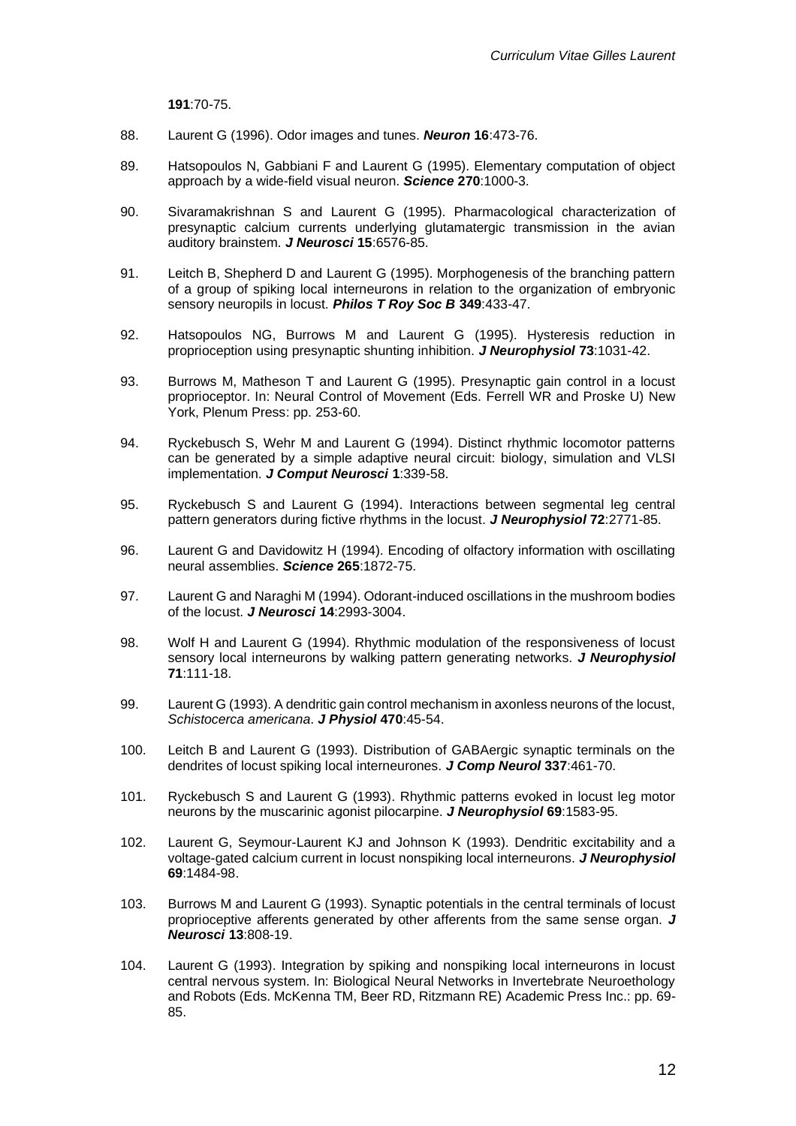**191**:70-75.

- 88. Laurent G (1996). Odor images and tunes. *Neuron* **16**:473-76.
- 89. Hatsopoulos N, Gabbiani F and Laurent G (1995). Elementary computation of object approach by a wide-field visual neuron. *Science* **270**:1000-3.
- 90. Sivaramakrishnan S and Laurent G (1995). Pharmacological characterization of presynaptic calcium currents underlying glutamatergic transmission in the avian auditory brainstem. *J Neurosci* **15**:6576-85.
- 91. Leitch B, Shepherd D and Laurent G (1995). Morphogenesis of the branching pattern of a group of spiking local interneurons in relation to the organization of embryonic sensory neuropils in locust. *Philos T Roy Soc B* **349**:433-47.
- 92. Hatsopoulos NG, Burrows M and Laurent G (1995). Hysteresis reduction in proprioception using presynaptic shunting inhibition. *J Neurophysiol* **73**:1031-42.
- 93. Burrows M, Matheson T and Laurent G (1995). Presynaptic gain control in a locust proprioceptor. In: Neural Control of Movement (Eds. Ferrell WR and Proske U) New York, Plenum Press: pp. 253-60.
- 94. Ryckebusch S, Wehr M and Laurent G (1994). Distinct rhythmic locomotor patterns can be generated by a simple adaptive neural circuit: biology, simulation and VLSI implementation. *J Comput Neurosci* **1**:339-58.
- 95. Ryckebusch S and Laurent G (1994). Interactions between segmental leg central pattern generators during fictive rhythms in the locust. *J Neurophysiol* **72**:2771-85.
- 96. Laurent G and Davidowitz H (1994). Encoding of olfactory information with oscillating neural assemblies. *Science* **265**:1872-75.
- 97. Laurent G and Naraghi M (1994). Odorant-induced oscillations in the mushroom bodies of the locust. *J Neurosci* **14**:2993-3004.
- 98. Wolf H and Laurent G (1994). Rhythmic modulation of the responsiveness of locust sensory local interneurons by walking pattern generating networks. *J Neurophysiol* **71**:111-18.
- 99. Laurent G (1993). A dendritic gain control mechanism in axonless neurons of the locust, *Schistocerca americana*. *J Physiol* **470**:45-54.
- 100. Leitch B and Laurent G (1993). Distribution of GABAergic synaptic terminals on the dendrites of locust spiking local interneurones. *J Comp Neurol* **337**:461-70.
- 101. Ryckebusch S and Laurent G (1993). Rhythmic patterns evoked in locust leg motor neurons by the muscarinic agonist pilocarpine. *J Neurophysiol* **69**:1583-95.
- 102. Laurent G, Seymour-Laurent KJ and Johnson K (1993). Dendritic excitability and a voltage-gated calcium current in locust nonspiking local interneurons. *J Neurophysiol* **69**:1484-98.
- 103. Burrows M and Laurent G (1993). Synaptic potentials in the central terminals of locust proprioceptive afferents generated by other afferents from the same sense organ. *J Neurosci* **13**:808-19.
- 104. Laurent G (1993). Integration by spiking and nonspiking local interneurons in locust central nervous system. In: Biological Neural Networks in Invertebrate Neuroethology and Robots (Eds. McKenna TM, Beer RD, Ritzmann RE) Academic Press Inc.: pp. 69- 85.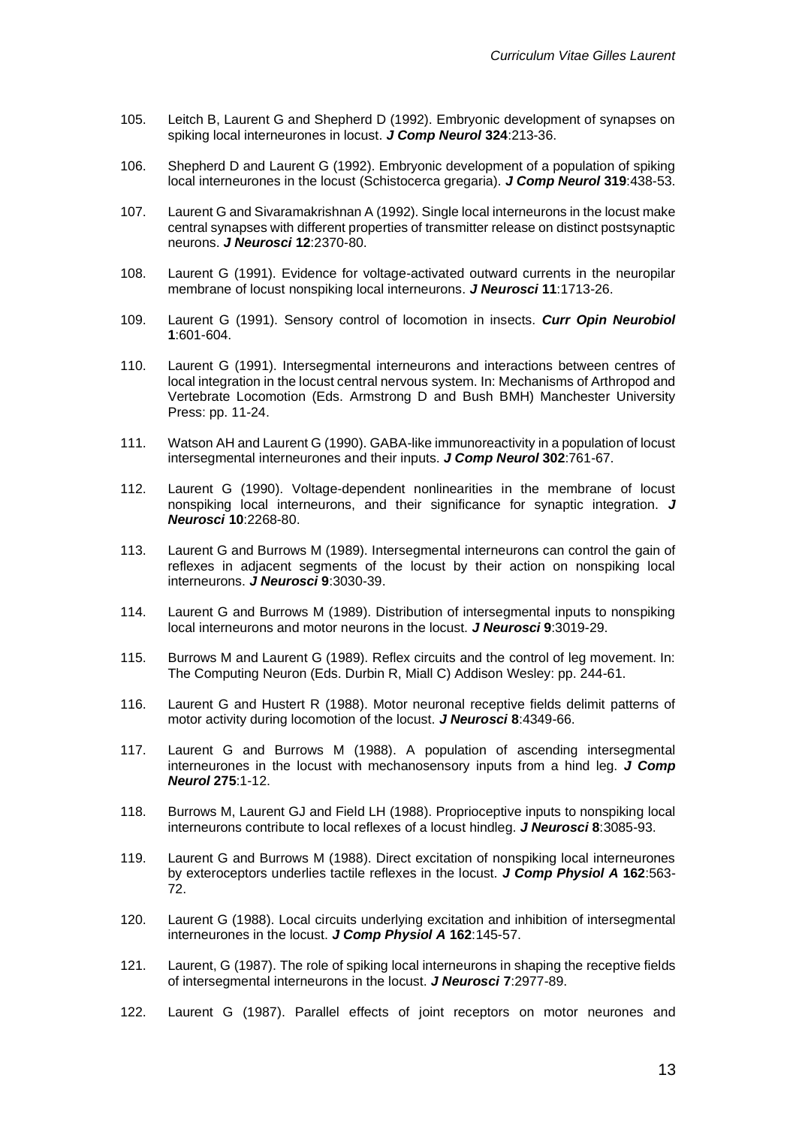- 105. Leitch B, Laurent G and Shepherd D (1992). Embryonic development of synapses on spiking local interneurones in locust. *J Comp Neurol* **324**:213-36.
- 106. Shepherd D and Laurent G (1992). Embryonic development of a population of spiking local interneurones in the locust (Schistocerca gregaria). *J Comp Neurol* **319**:438-53.
- 107. Laurent G and Sivaramakrishnan A (1992). Single local interneurons in the locust make central synapses with different properties of transmitter release on distinct postsynaptic neurons. *J Neurosci* **12**:2370-80.
- 108. Laurent G (1991). Evidence for voltage-activated outward currents in the neuropilar membrane of locust nonspiking local interneurons. *J Neurosci* **11**:1713-26.
- 109. Laurent G (1991). Sensory control of locomotion in insects. *Curr Opin Neurobiol* **1**:601-604.
- 110. Laurent G (1991). Intersegmental interneurons and interactions between centres of local integration in the locust central nervous system. In: Mechanisms of Arthropod and Vertebrate Locomotion (Eds. Armstrong D and Bush BMH) Manchester University Press: pp. 11-24.
- 111. Watson AH and Laurent G (1990). GABA-like immunoreactivity in a population of locust intersegmental interneurones and their inputs. *J Comp Neurol* **302**:761-67.
- 112. Laurent G (1990). Voltage-dependent nonlinearities in the membrane of locust nonspiking local interneurons, and their significance for synaptic integration. *J Neurosci* **10**:2268-80.
- 113. Laurent G and Burrows M (1989). Intersegmental interneurons can control the gain of reflexes in adjacent segments of the locust by their action on nonspiking local interneurons. *J Neurosci* **9**:3030-39.
- 114. Laurent G and Burrows M (1989). Distribution of intersegmental inputs to nonspiking local interneurons and motor neurons in the locust. *J Neurosci* **9**:3019-29.
- 115. Burrows M and Laurent G (1989). Reflex circuits and the control of leg movement. In: The Computing Neuron (Eds. Durbin R, Miall C) Addison Wesley: pp. 244-61.
- 116. Laurent G and Hustert R (1988). Motor neuronal receptive fields delimit patterns of motor activity during locomotion of the locust. *J Neurosci* **8**:4349-66.
- 117. Laurent G and Burrows M (1988). A population of ascending intersegmental interneurones in the locust with mechanosensory inputs from a hind leg. *J Comp Neurol* **275**:1-12.
- 118. Burrows M, Laurent GJ and Field LH (1988). Proprioceptive inputs to nonspiking local interneurons contribute to local reflexes of a locust hindleg. *J Neurosci* **8**:3085-93.
- 119. Laurent G and Burrows M (1988). Direct excitation of nonspiking local interneurones by exteroceptors underlies tactile reflexes in the locust. *J Comp Physiol A* **162**:563- 72.
- 120. Laurent G (1988). Local circuits underlying excitation and inhibition of intersegmental interneurones in the locust. *J Comp Physiol A* **162**:145-57.
- 121. Laurent, G (1987). The role of spiking local interneurons in shaping the receptive fields of intersegmental interneurons in the locust. *J Neurosci* **7**:2977-89.
- 122. Laurent G (1987). Parallel effects of joint receptors on motor neurones and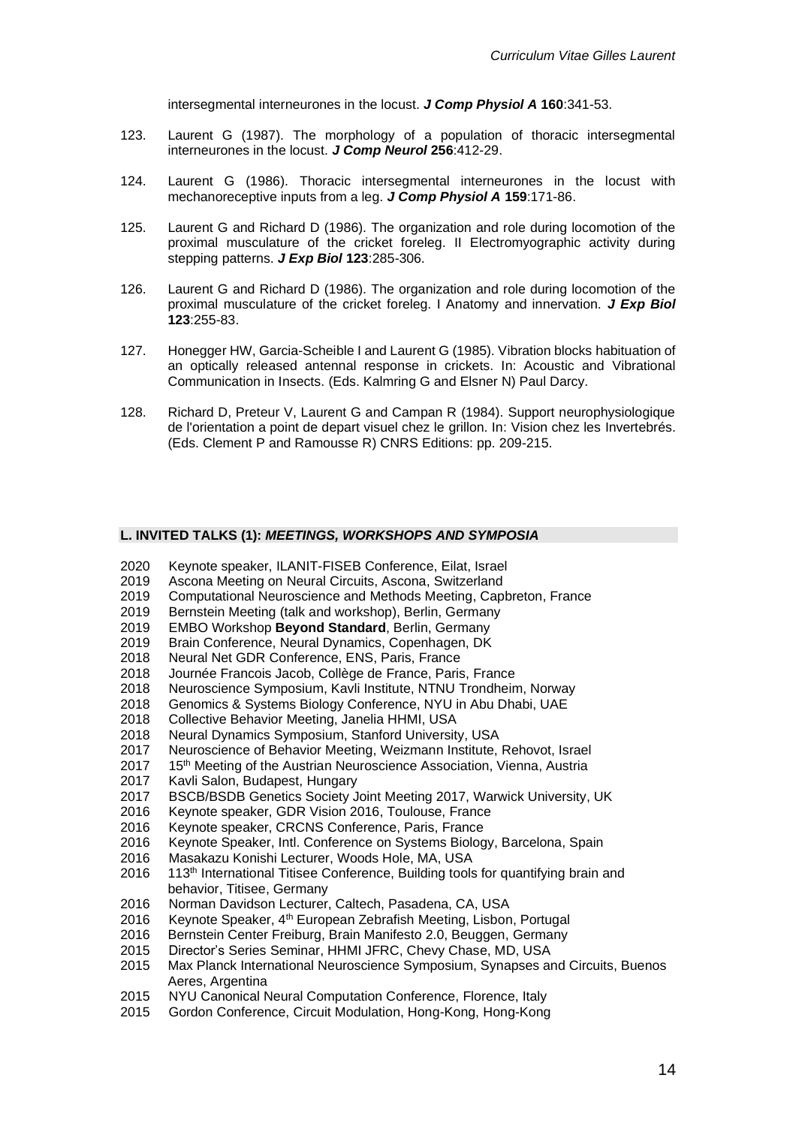intersegmental interneurones in the locust. *J Comp Physiol A* **160**:341-53.

- 123. Laurent G (1987). The morphology of a population of thoracic intersegmental interneurones in the locust. *J Comp Neurol* **256**:412-29.
- 124. Laurent G (1986). Thoracic intersegmental interneurones in the locust with mechanoreceptive inputs from a leg. *J Comp Physiol A* **159**:171-86.
- 125. Laurent G and Richard D (1986). The organization and role during locomotion of the proximal musculature of the cricket foreleg. II Electromyographic activity during stepping patterns. *J Exp Biol* **123**:285-306.
- 126. Laurent G and Richard D (1986). The organization and role during locomotion of the proximal musculature of the cricket foreleg. I Anatomy and innervation. *J Exp Biol* **123**:255-83.
- 127. Honegger HW, Garcia-Scheible I and Laurent G (1985). Vibration blocks habituation of an optically released antennal response in crickets. In: Acoustic and Vibrational Communication in Insects. (Eds. Kalmring G and Elsner N) Paul Darcy.
- 128. Richard D, Preteur V, Laurent G and Campan R (1984). Support neurophysiologique de l'orientation a point de depart visuel chez le grillon. In: Vision chez les Invertebrés. (Eds. Clement P and Ramousse R) CNRS Editions: pp. 209-215.

## **L. INVITED TALKS (1):** *MEETINGS, WORKSHOPS AND SYMPOSIA*

- 2020 Keynote speaker, ILANIT-FISEB Conference, Eilat, Israel
- 2019 Ascona Meeting on Neural Circuits, Ascona, Switzerland
- 2019 Computational Neuroscience and Methods Meeting, Capbreton, France
- 2019 Bernstein Meeting (talk and workshop), Berlin, Germany
- 2019 EMBO Workshop **Beyond Standard**, Berlin, Germany
- 2019 Brain Conference, Neural Dynamics, Copenhagen, DK
- 2018 Neural Net GDR Conference, ENS, Paris, France
- 2018 Journée Francois Jacob, Collège de France, Paris, France
- 2018 Neuroscience Symposium, Kavli Institute, NTNU Trondheim, Norway
- 2018 Genomics & Systems Biology Conference, NYU in Abu Dhabi, UAE
- 2018 Collective Behavior Meeting, Janelia HHMI, USA
- 2018 Neural Dynamics Symposium, Stanford University, USA
- 2017 Neuroscience of Behavior Meeting, Weizmann Institute, Rehovot, Israel
- 2017 15<sup>th</sup> Meeting of the Austrian Neuroscience Association, Vienna, Austria
- 2017 Kavli Salon, Budapest, Hungary<br>2017 BSCB/BSDB Genetics Society J
- 2017 BSCB/BSDB Genetics Society Joint Meeting 2017, Warwick University, UK
- 2016 Keynote speaker, GDR Vision 2016, Toulouse, France
- 2016 Keynote speaker, CRCNS Conference, Paris, France
- Keynote Speaker, Intl. Conference on Systems Biology, Barcelona, Spain
- 2016 Masakazu Konishi Lecturer, Woods Hole, MA, USA
- $2016$  113<sup>th</sup> International Titisee Conference, Building tools for quantifying brain and behavior, Titisee, Germany
- 2016 Norman Davidson Lecturer, Caltech, Pasadena, CA, USA
- 2016 Keynote Speaker,  $4<sup>th</sup>$  European Zebrafish Meeting, Lisbon, Portugal
- 2016 Bernstein Center Freiburg, Brain Manifesto 2.0, Beuggen, Germany
- 2015 Director's Series Seminar, HHMI JFRC, Chevy Chase, MD, USA
- 2015 Max Planck International Neuroscience Symposium, Synapses and Circuits, Buenos Aeres, Argentina
- 2015 NYU Canonical Neural Computation Conference, Florence, Italy
- 2015 Gordon Conference, Circuit Modulation, Hong-Kong, Hong-Kong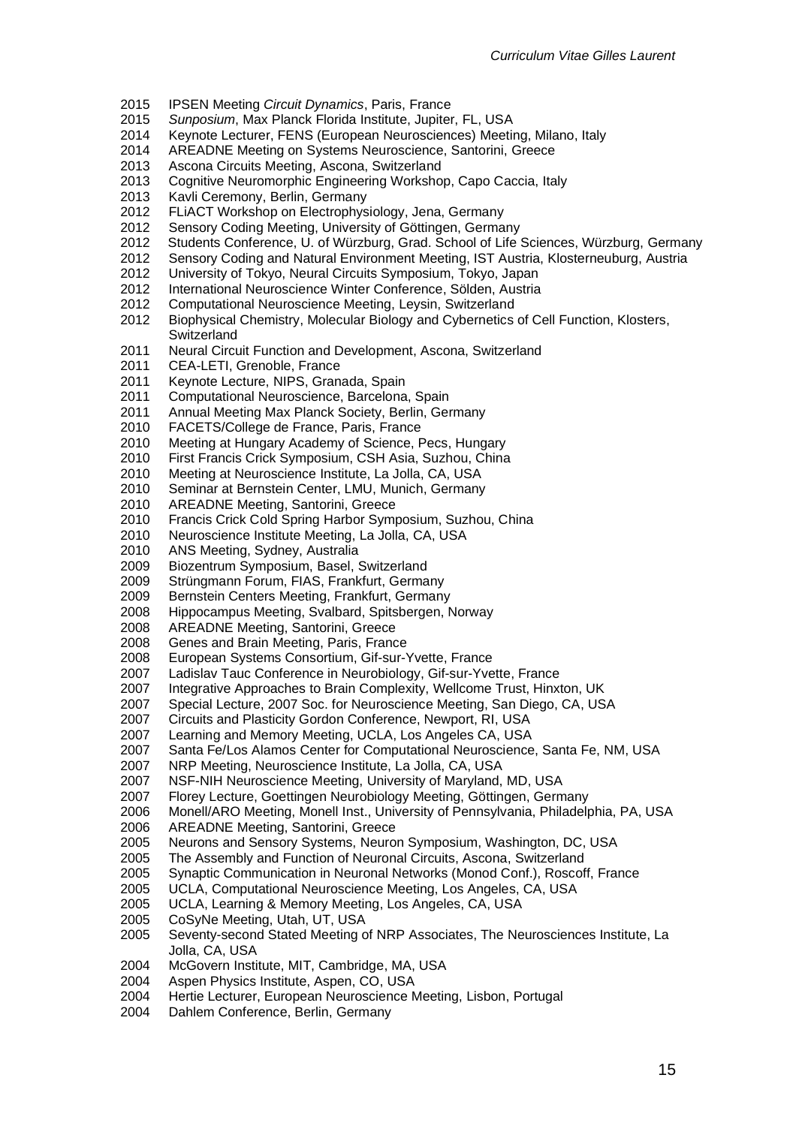- IPSEN Meeting *Circuit Dynamics*, Paris, France
- *Sunposium*, Max Planck Florida Institute, Jupiter, FL, USA
- Keynote Lecturer, FENS (European Neurosciences) Meeting, Milano, Italy
- AREADNE Meeting on Systems Neuroscience, Santorini, Greece
- Ascona Circuits Meeting, Ascona, Switzerland
- Cognitive Neuromorphic Engineering Workshop, Capo Caccia, Italy
- 2013 Kavli Ceremony, Berlin, Germany<br>2012 FLIACT Workshop on Electrophys
- FLiACT Workshop on Electrophysiology, Jena, Germany
- Sensory Coding Meeting, University of Göttingen, Germany
- Students Conference, U. of Würzburg, Grad. School of Life Sciences, Würzburg, Germany
- Sensory Coding and Natural Environment Meeting, IST Austria, Klosterneuburg, Austria
- University of Tokyo, Neural Circuits Symposium, Tokyo, Japan
- International Neuroscience Winter Conference, Sölden, Austria
- Computational Neuroscience Meeting, Leysin, Switzerland
- Biophysical Chemistry, Molecular Biology and Cybernetics of Cell Function, Klosters, **Switzerland**
- Neural Circuit Function and Development, Ascona, Switzerland
- CEA-LETI, Grenoble, France
- Keynote Lecture, NIPS, Granada, Spain
- 2011 Computational Neuroscience, Barcelona, Spain
- Annual Meeting Max Planck Society, Berlin, Germany
- FACETS/College de France, Paris, France
- Meeting at Hungary Academy of Science, Pecs, Hungary
- First Francis Crick Symposium, CSH Asia, Suzhou, China
- Meeting at Neuroscience Institute, La Jolla, CA, USA
- Seminar at Bernstein Center, LMU, Munich, Germany
- AREADNE Meeting, Santorini, Greece
- Francis Crick Cold Spring Harbor Symposium, Suzhou, China
- Neuroscience Institute Meeting, La Jolla, CA, USA
- ANS Meeting, Sydney, Australia
- Biozentrum Symposium, Basel, Switzerland
- Strüngmann Forum, FIAS, Frankfurt, Germany
- Bernstein Centers Meeting, Frankfurt, Germany
- Hippocampus Meeting, Svalbard, Spitsbergen, Norway
- AREADNE Meeting, Santorini, Greece
- Genes and Brain Meeting, Paris, France
- European Systems Consortium, Gif-sur-Yvette, France
- Ladislav Tauc Conference in Neurobiology, Gif-sur-Yvette, France
- Integrative Approaches to Brain Complexity, Wellcome Trust, Hinxton, UK
- Special Lecture, 2007 Soc. for Neuroscience Meeting, San Diego, CA, USA
- Circuits and Plasticity Gordon Conference, Newport, RI, USA
- Learning and Memory Meeting, UCLA, Los Angeles CA, USA
- Santa Fe/Los Alamos Center for Computational Neuroscience, Santa Fe, NM, USA
- NRP Meeting, Neuroscience Institute, La Jolla, CA, USA
- 2007 NSF-NIH Neuroscience Meeting, University of Maryland, MD, USA<br>2007 Florey Lecture, Goettingen Neurobiology Meeting, Göttingen, Germ
- Florey Lecture, Goettingen Neurobiology Meeting, Göttingen, Germany
- Monell/ARO Meeting, Monell Inst., University of Pennsylvania, Philadelphia, PA, USA
- AREADNE Meeting, Santorini, Greece
- Neurons and Sensory Systems, Neuron Symposium, Washington, DC, USA
- The Assembly and Function of Neuronal Circuits, Ascona, Switzerland
- Synaptic Communication in Neuronal Networks (Monod Conf.), Roscoff, France
- UCLA, Computational Neuroscience Meeting, Los Angeles, CA, USA
- UCLA, Learning & Memory Meeting, Los Angeles, CA, USA
- CoSyNe Meeting, Utah, UT, USA
- Seventy-second Stated Meeting of NRP Associates, The Neurosciences Institute, La Jolla, CA, USA
- McGovern Institute, MIT, Cambridge, MA, USA
- Aspen Physics Institute, Aspen, CO, USA
- Hertie Lecturer, European Neuroscience Meeting, Lisbon, Portugal
- Dahlem Conference, Berlin, Germany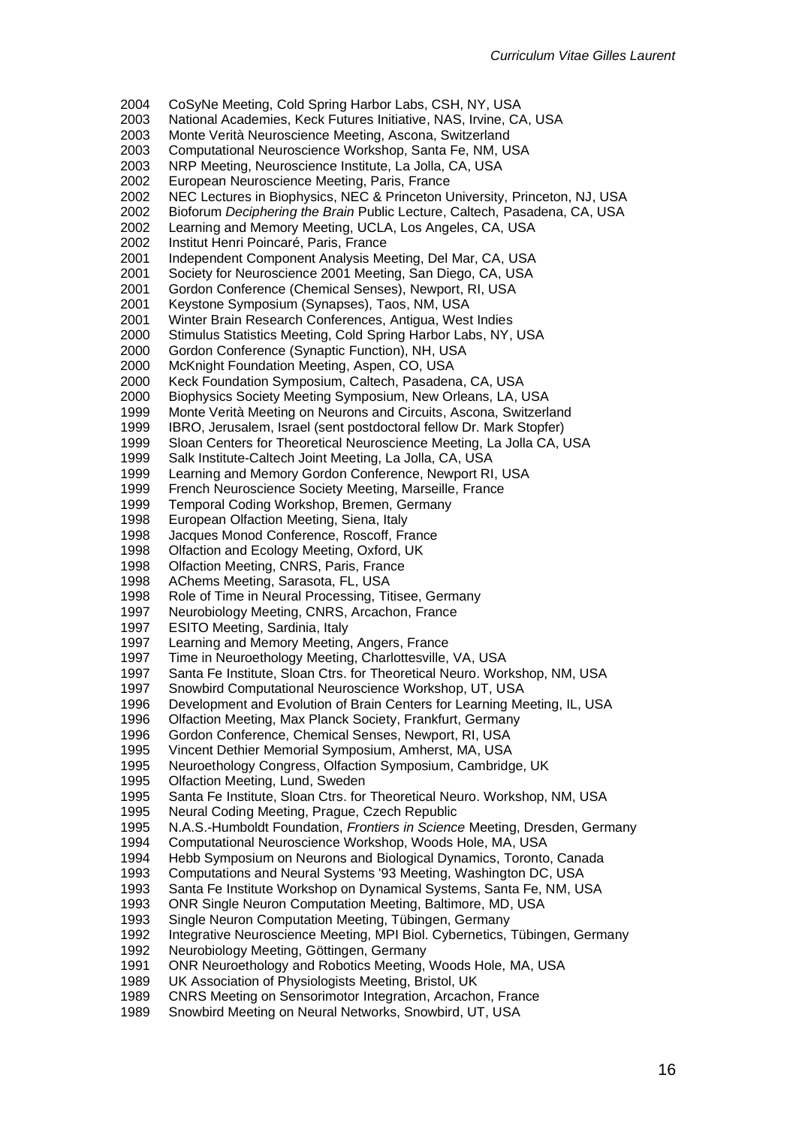CoSyNe Meeting, Cold Spring Harbor Labs, CSH, NY, USA

- National Academies, Keck Futures Initiative, NAS, Irvine, CA, USA
- Monte Verità Neuroscience Meeting, Ascona, Switzerland
- Computational Neuroscience Workshop, Santa Fe, NM, USA
- NRP Meeting, Neuroscience Institute, La Jolla, CA, USA
- European Neuroscience Meeting, Paris, France
- 2002 NEC Lectures in Biophysics, NEC & Princeton University, Princeton, NJ, USA<br>2002 Bioforum *Deciphering the Brain* Public Lecture, Caltech, Pasadena, CA, USA
- Bioforum *Deciphering the Brain* Public Lecture, Caltech, Pasadena, CA, USA
- 2002 Learning and Memory Meeting, UCLA, Los Angeles, CA, USA<br>2002 Institut Henri Poincaré, Paris, France
- Institut Henri Poincaré, Paris, France
- Independent Component Analysis Meeting, Del Mar, CA, USA
- Society for Neuroscience 2001 Meeting, San Diego, CA, USA
- Gordon Conference (Chemical Senses), Newport, RI, USA
- Keystone Symposium (Synapses), Taos, NM, USA
- Winter Brain Research Conferences, Antigua, West Indies
- Stimulus Statistics Meeting, Cold Spring Harbor Labs, NY, USA
- Gordon Conference (Synaptic Function), NH, USA
- McKnight Foundation Meeting, Aspen, CO, USA
- Keck Foundation Symposium, Caltech, Pasadena, CA, USA
- Biophysics Society Meeting Symposium, New Orleans, LA, USA
- Monte Verità Meeting on Neurons and Circuits, Ascona, Switzerland
- IBRO, Jerusalem, Israel (sent postdoctoral fellow Dr. Mark Stopfer)
- Sloan Centers for Theoretical Neuroscience Meeting, La Jolla CA, USA
- Salk Institute-Caltech Joint Meeting, La Jolla, CA, USA
- Learning and Memory Gordon Conference, Newport RI, USA
- French Neuroscience Society Meeting, Marseille, France
- 1999 Temporal Coding Workshop, Bremen, Germany<br>1998 European Olfaction Meeting, Siena, Italy
- 1998 European Olfaction Meeting, Siena, Italy<br>1998 Jacques Monod Conference, Roscoff, Fr
- Jacques Monod Conference, Roscoff, France
- Olfaction and Ecology Meeting, Oxford, UK
- Olfaction Meeting, CNRS, Paris, France
- AChems Meeting, Sarasota, FL, USA
- Role of Time in Neural Processing, Titisee, Germany
- Neurobiology Meeting, CNRS, Arcachon, France
- ESITO Meeting, Sardinia, Italy
- Learning and Memory Meeting, Angers, France
- Time in Neuroethology Meeting, Charlottesville, VA, USA
- Santa Fe Institute, Sloan Ctrs. for Theoretical Neuro. Workshop, NM, USA
- Snowbird Computational Neuroscience Workshop, UT, USA
- Development and Evolution of Brain Centers for Learning Meeting, IL, USA
- Olfaction Meeting, Max Planck Society, Frankfurt, Germany
- Gordon Conference, Chemical Senses, Newport, RI, USA
- Vincent Dethier Memorial Symposium, Amherst, MA, USA
- Neuroethology Congress, Olfaction Symposium, Cambridge, UK
- 1995 Olfaction Meeting, Lund, Sweden<br>1995 Santa Fe Institute, Sloan Ctrs, for
- Santa Fe Institute, Sloan Ctrs. for Theoretical Neuro. Workshop, NM, USA
- Neural Coding Meeting, Prague, Czech Republic
- N.A.S.-Humboldt Foundation, *Frontiers in Science* Meeting, Dresden, Germany
- Computational Neuroscience Workshop, Woods Hole, MA, USA
- 1994 Hebb Symposium on Neurons and Biological Dynamics, Toronto, Canada<br>1993 Computations and Neural Systems '93 Meeting. Washington DC. USA
- Computations and Neural Systems '93 Meeting, Washington DC, USA
- Santa Fe Institute Workshop on Dynamical Systems, Santa Fe, NM, USA
- ONR Single Neuron Computation Meeting, Baltimore, MD, USA
- Single Neuron Computation Meeting, Tübingen, Germany
- Integrative Neuroscience Meeting, MPI Biol. Cybernetics, Tübingen, Germany
- Neurobiology Meeting, Göttingen, Germany
- ONR Neuroethology and Robotics Meeting, Woods Hole, MA, USA
- UK Association of Physiologists Meeting, Bristol, UK
- CNRS Meeting on Sensorimotor Integration, Arcachon, France
- Snowbird Meeting on Neural Networks, Snowbird, UT, USA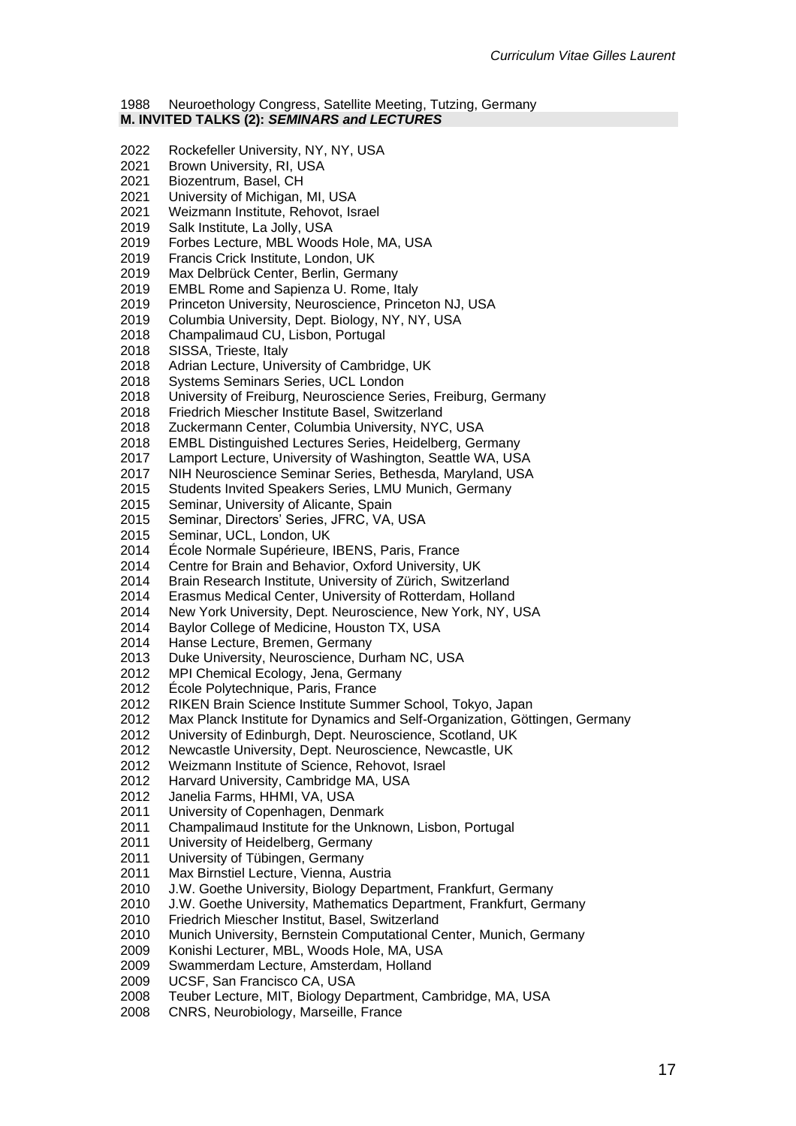#### Neuroethology Congress, Satellite Meeting, Tutzing, Germany **M. INVITED TALKS (2):** *SEMINARS and LECTURES*

- Rockefeller University, NY, NY, USA
- Brown University, RI, USA
- Biozentrum, Basel, CH
- 2021 University of Michigan, MI, USA<br>2021 Weizmann Institute. Rehovot. Is
- Weizmann Institute, Rehovot, Israel
- Salk Institute, La Jolly, USA
- Forbes Lecture, MBL Woods Hole, MA, USA
- Francis Crick Institute, London, UK
- Max Delbrück Center, Berlin, Germany
- EMBL Rome and Sapienza U. Rome, Italy
- Princeton University, Neuroscience, Princeton NJ, USA
- Columbia University, Dept. Biology, NY, NY, USA
- Champalimaud CU, Lisbon, Portugal
- SISSA, Trieste, Italy
- Adrian Lecture, University of Cambridge, UK
- Systems Seminars Series, UCL London
- University of Freiburg, Neuroscience Series, Freiburg, Germany
- Friedrich Miescher Institute Basel, Switzerland
- Zuckermann Center, Columbia University, NYC, USA
- EMBL Distinguished Lectures Series, Heidelberg, Germany
- Lamport Lecture, University of Washington, Seattle WA, USA
- NIH Neuroscience Seminar Series, Bethesda, Maryland, USA
- Students Invited Speakers Series, LMU Munich, Germany
- Seminar, University of Alicante, Spain
- Seminar, Directors' Series, JFRC, VA, USA
- Seminar, UCL, London, UK
- École Normale Supérieure, IBENS, Paris, France
- Centre for Brain and Behavior, Oxford University, UK
- Brain Research Institute, University of Zürich, Switzerland
- Erasmus Medical Center, University of Rotterdam, Holland
- 2014 New York University, Dept. Neuroscience, New York, NY, USA
- Baylor College of Medicine, Houston TX, USA
- Hanse Lecture, Bremen, Germany
- 2013 Duke University, Neuroscience, Durham NC, USA
- MPI Chemical Ecology, Jena, Germany
- École Polytechnique, Paris, France
- RIKEN Brain Science Institute Summer School, Tokyo, Japan
- Max Planck Institute for Dynamics and Self-Organization, Göttingen, Germany
- University of Edinburgh, Dept. Neuroscience, Scotland, UK
- Newcastle University, Dept. Neuroscience, Newcastle, UK
- Weizmann Institute of Science, Rehovot, Israel
- Harvard University, Cambridge MA, USA
- Janelia Farms, HHMI, VA, USA
- University of Copenhagen, Denmark
- 2011 Champalimaud Institute for the Unknown, Lisbon, Portugal<br>2011 University of Heidelberg, Germany
- University of Heidelberg, Germany
- University of Tübingen, Germany
- Max Birnstiel Lecture, Vienna, Austria
- 2010 J.W. Goethe University, Biology Department, Frankfurt, Germany
- 2010 J.W. Goethe University, Mathematics Department, Frankfurt, Germany
- 2010 Friedrich Miescher Institut, Basel, Switzerland
- 2010 Munich University, Bernstein Computational Center, Munich, Germany
- 2009 Konishi Lecturer, MBL, Woods Hole, MA, USA
- 2009 Swammerdam Lecture, Amsterdam, Holland
- 2009 UCSF, San Francisco CA, USA
- Teuber Lecture, MIT, Biology Department, Cambridge, MA, USA
- 2008 CNRS, Neurobiology, Marseille, France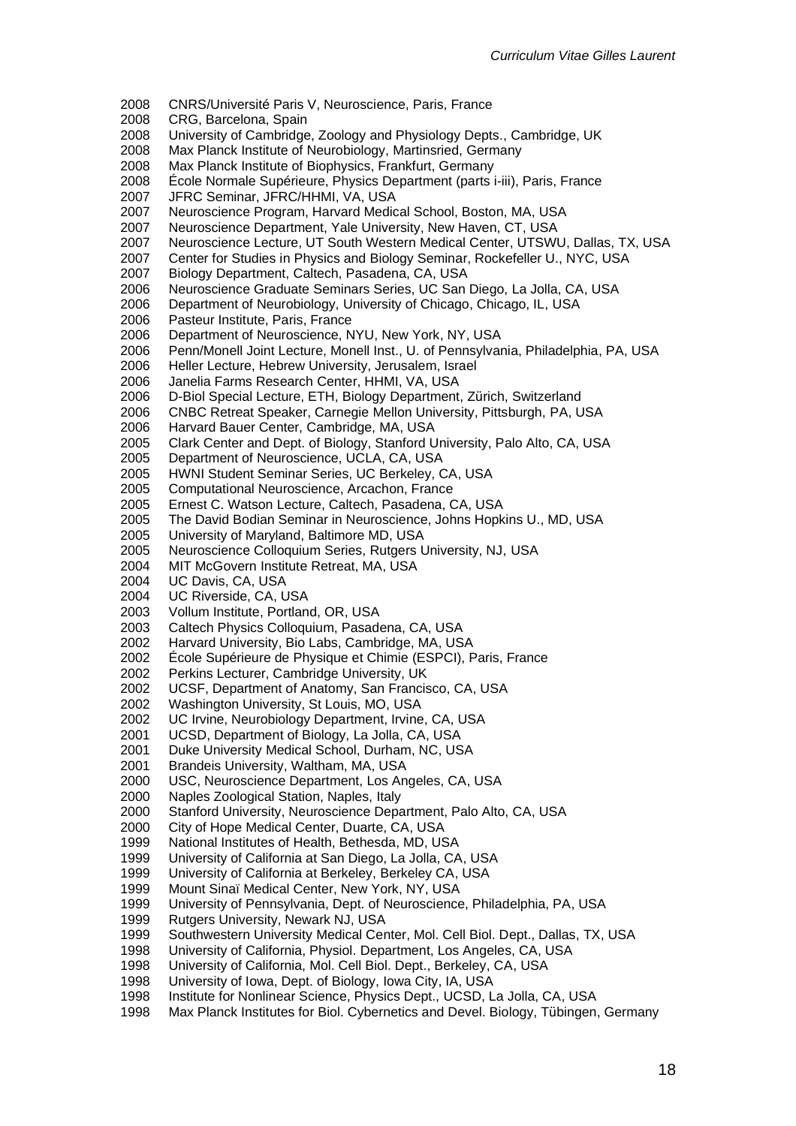- 2008 CNRS/Université Paris V, Neuroscience, Paris, France
- 2008 CRG, Barcelona, Spain
- 2008 University of Cambridge, Zoology and Physiology Depts., Cambridge, UK
- 2008 Max Planck Institute of Neurobiology, Martinsried, Germany
- 2008 Max Planck Institute of Biophysics, Frankfurt, Germany
- 2008 École Normale Supérieure, Physics Department (parts i-iii), Paris, France
- 2007 JFRC Seminar, JFRC/HHMI, VA, USA
- 2007 Neuroscience Program, Harvard Medical School, Boston, MA, USA<br>2007 Neuroscience Department, Yale University, New Haven, CT, USA
- Neuroscience Department, Yale University, New Haven, CT, USA
- 2007 Neuroscience Lecture, UT South Western Medical Center, UTSWU, Dallas, TX, USA
- 2007 Center for Studies in Physics and Biology Seminar, Rockefeller U., NYC, USA
- 2007 Biology Department, Caltech, Pasadena, CA, USA
- 2006 Neuroscience Graduate Seminars Series, UC San Diego, La Jolla, CA, USA
- 2006 Department of Neurobiology, University of Chicago, Chicago, IL, USA
- 2006 Pasteur Institute, Paris, France
- 2006 Department of Neuroscience, NYU, New York, NY, USA
- 2006 Penn/Monell Joint Lecture, Monell Inst., U. of Pennsylvania, Philadelphia, PA, USA
- 2006 Heller Lecture, Hebrew University, Jerusalem, Israel
- 2006 Janelia Farms Research Center, HHMI, VA, USA
- 2006 D-Biol Special Lecture, ETH, Biology Department, Zürich, Switzerland
- 2006 CNBC Retreat Speaker, Carnegie Mellon University, Pittsburgh, PA, USA
- 2006 Harvard Bauer Center, Cambridge, MA, USA
- 2005 Clark Center and Dept. of Biology, Stanford University, Palo Alto, CA, USA
- 2005 Department of Neuroscience, UCLA, CA, USA
- 2005 HWNI Student Seminar Series, UC Berkeley, CA, USA
- 2005 Computational Neuroscience, Arcachon, France
- 2005 Ernest C. Watson Lecture, Caltech, Pasadena, CA, USA<br>2005 The David Bodian Seminar in Neuroscience, Johns Hopk
- The David Bodian Seminar in Neuroscience, Johns Hopkins U., MD, USA
- 2005 University of Maryland, Baltimore MD, USA
- 2005 Neuroscience Colloquium Series, Rutgers University, NJ, USA
- 2004 MIT McGovern Institute Retreat, MA, USA
- 2004 UC Davis, CA, USA
- 2004 UC Riverside, CA, USA
- 2003 Vollum Institute, Portland, OR, USA
- 2003 Caltech Physics Colloquium, Pasadena, CA, USA
- 2002 Harvard University, Bio Labs, Cambridge, MA, USA
- 2002 École Supérieure de Physique et Chimie (ESPCI), Paris, France
- 2002 Perkins Lecturer, Cambridge University, UK
- 2002 UCSF, Department of Anatomy, San Francisco, CA, USA
- 2002 Washington University, St Louis, MO, USA
- 2002 UC Irvine, Neurobiology Department, Irvine, CA, USA
- 2001 UCSD, Department of Biology, La Jolla, CA, USA
- 2001 Duke University Medical School, Durham, NC, USA
- 2001 Brandeis University, Waltham, MA, USA
- 2000 USC, Neuroscience Department, Los Angeles, CA, USA<br>2000 Naples Zoological Station, Naples, Italy
- 2000 Naples Zoological Station, Naples, Italy
- Stanford University, Neuroscience Department, Palo Alto, CA, USA
- 2000 City of Hope Medical Center, Duarte, CA, USA
- National Institutes of Health, Bethesda, MD, USA
- 1999 University of California at San Diego, La Jolla, CA, USA<br>1999 University of California at Berkeley, Berkeley CA, USA
- University of California at Berkeley, Berkeley CA, USA
- 1999 Mount Sinaï Medical Center, New York, NY, USA
- 1999 University of Pennsylvania, Dept. of Neuroscience, Philadelphia, PA, USA
- 1999 Rutgers University, Newark NJ, USA
- 1999 Southwestern University Medical Center, Mol. Cell Biol. Dept., Dallas, TX, USA
- 1998 University of California, Physiol. Department, Los Angeles, CA, USA
- 1998 University of California, Mol. Cell Biol. Dept., Berkeley, CA, USA
- 1998 University of Iowa, Dept. of Biology, Iowa City, IA, USA
- 1998 Institute for Nonlinear Science, Physics Dept., UCSD, La Jolla, CA, USA
- 1998 Max Planck Institutes for Biol. Cybernetics and Devel. Biology, Tübingen, Germany